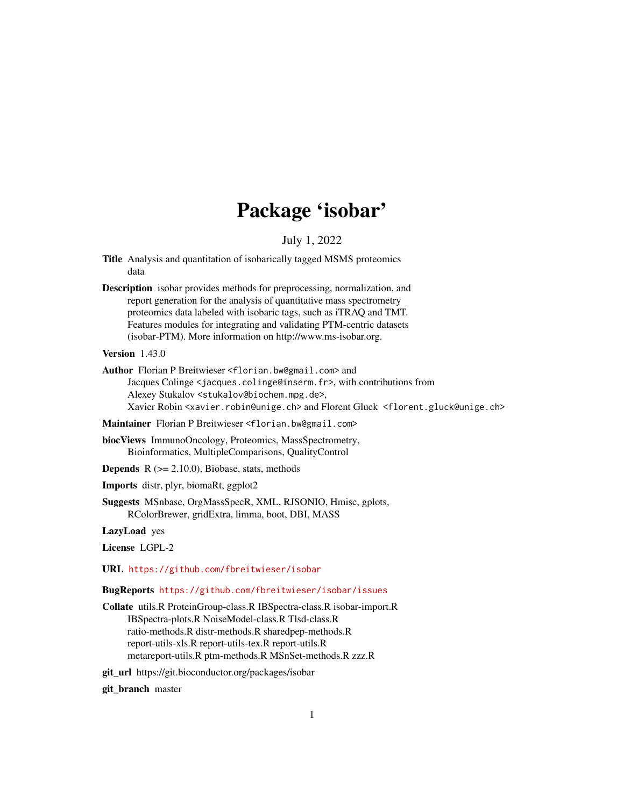## Package 'isobar'

July 1, 2022

- <span id="page-0-0"></span>Title Analysis and quantitation of isobarically tagged MSMS proteomics data
- Description isobar provides methods for preprocessing, normalization, and report generation for the analysis of quantitative mass spectrometry proteomics data labeled with isobaric tags, such as iTRAQ and TMT. Features modules for integrating and validating PTM-centric datasets (isobar-PTM). More information on http://www.ms-isobar.org.
- Version 1.43.0
- Author Florian P Breitwieser <florian.bw@gmail.com> and Jacques Colinge <jacques.colinge@inserm.fr>, with contributions from Alexey Stukalov <stukalov@biochem.mpg.de>, Xavier Robin <xavier.robin@unige.ch> and Florent Gluck <florent.gluck@unige.ch>

Maintainer Florian P Breitwieser <florian.bw@gmail.com>

biocViews ImmunoOncology, Proteomics, MassSpectrometry, Bioinformatics, MultipleComparisons, QualityControl

- **Depends**  $R$  ( $>= 2.10.0$ ), Biobase, stats, methods
- Imports distr, plyr, biomaRt, ggplot2

Suggests MSnbase, OrgMassSpecR, XML, RJSONIO, Hmisc, gplots, RColorBrewer, gridExtra, limma, boot, DBI, MASS

LazyLoad yes

License LGPL-2

URL <https://github.com/fbreitwieser/isobar>

#### BugReports <https://github.com/fbreitwieser/isobar/issues>

Collate utils.R ProteinGroup-class.R IBSpectra-class.R isobar-import.R IBSpectra-plots.R NoiseModel-class.R Tlsd-class.R ratio-methods.R distr-methods.R sharedpep-methods.R report-utils-xls.R report-utils-tex.R report-utils.R metareport-utils.R ptm-methods.R MSnSet-methods.R zzz.R

git\_url https://git.bioconductor.org/packages/isobar

git\_branch master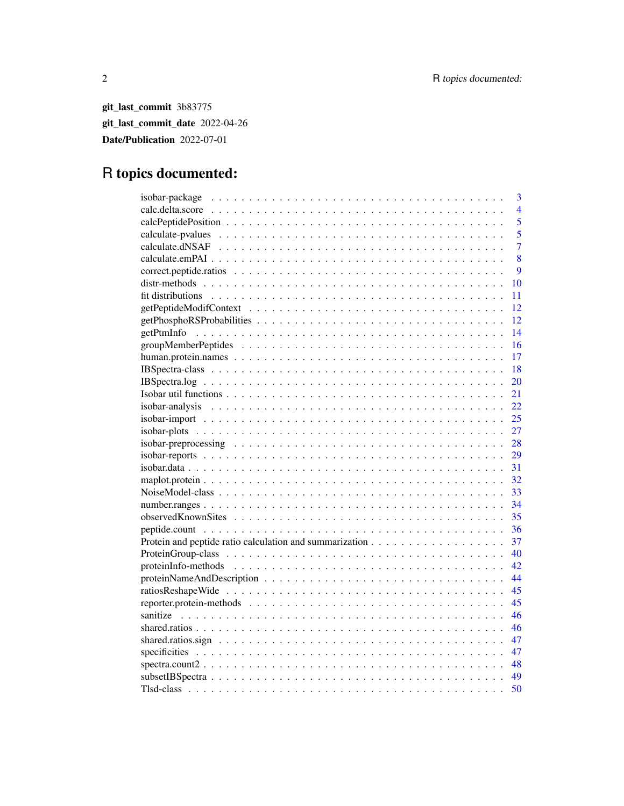git\_last\_commit 3b83775 git\_last\_commit\_date 2022-04-26 Date/Publication 2022-07-01

## R topics documented:

|                                  | 3              |
|----------------------------------|----------------|
|                                  | $\overline{4}$ |
|                                  | 5              |
|                                  | $\overline{5}$ |
|                                  | $\overline{7}$ |
|                                  | 8              |
|                                  | 9              |
|                                  | 10             |
|                                  | 11             |
|                                  | 12             |
|                                  | 12             |
|                                  | 14             |
|                                  | 16             |
|                                  | 17             |
|                                  | 18             |
|                                  | 20             |
|                                  | 21             |
|                                  | 22             |
| $isobar-import                 $ | 25             |
|                                  | 27             |
|                                  | 28             |
|                                  | 29             |
|                                  | 31             |
|                                  | 32             |
|                                  | 33             |
|                                  |                |
|                                  | 35             |
|                                  | 36             |
|                                  | 37             |
|                                  | 40             |
|                                  | 42             |
|                                  | 44             |
|                                  | 45             |
|                                  | 45             |
|                                  | 46             |
|                                  | 46             |
|                                  | 47             |
|                                  | 47             |
| $spectra.count2$                 | 48             |
|                                  | 49             |
|                                  | 50             |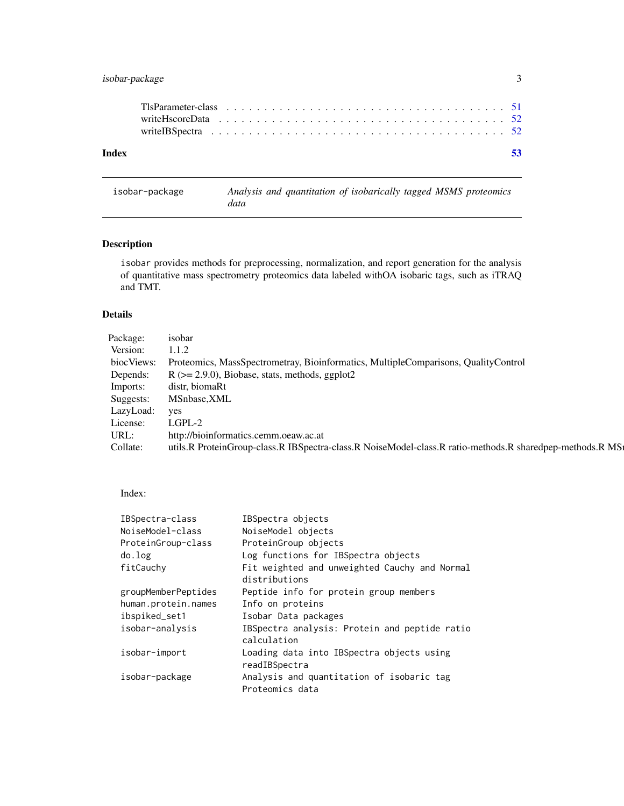## <span id="page-2-0"></span>isobar-package 3

| Index |  |  |  |  |  |  |  |  |  |  |  |  |  |  |  |  |  |  | -53 |
|-------|--|--|--|--|--|--|--|--|--|--|--|--|--|--|--|--|--|--|-----|
|       |  |  |  |  |  |  |  |  |  |  |  |  |  |  |  |  |  |  |     |

## isobar-package *Analysis and quantitation of isobarically tagged MSMS proteomics data*

## Description

isobar provides methods for preprocessing, normalization, and report generation for the analysis of quantitative mass spectrometry proteomics data labeled withOA isobaric tags, such as iTRAQ and TMT.

## Details

| Package:   | isobar                                                                                                   |
|------------|----------------------------------------------------------------------------------------------------------|
| Version:   | 1.1.2                                                                                                    |
| biocViews: | Proteomics, MassSpectrometray, Bioinformatics, MultipleComparisons, QualityControl                       |
| Depends:   | $R$ ( $>= 2.9.0$ ), Biobase, stats, methods, ggplot2                                                     |
| Imports:   | distr, biomaRt                                                                                           |
| Suggests:  | MSnbase, XML                                                                                             |
| LazyLoad:  | yes                                                                                                      |
| License:   | LGPL-2                                                                                                   |
| URL:       | http://bioinformatics.cemm.oeaw.ac.at                                                                    |
| Collate:   | utils.R ProteinGroup-class.R IBSpectra-class.R NoiseModel-class.R ratio-methods.R sharedpep-methods.R MS |
|            |                                                                                                          |

## Index:

| IBSpectra-class     | IBSpectra objects                             |
|---------------------|-----------------------------------------------|
| NoiseModel-class    | NoiseModel objects                            |
| ProteinGroup-class  | ProteinGroup objects                          |
| do.log              | Log functions for IBSpectra objects           |
| fitCauchy           | Fit weighted and unweighted Cauchy and Normal |
|                     | distributions                                 |
| groupMemberPeptides | Peptide info for protein group members        |
| human.protein.names | Info on proteins                              |
| ibspiked_set1       | Isobar Data packages                          |
| isobar-analysis     | IBSpectra analysis: Protein and peptide ratio |
|                     | calculation                                   |
| isobar-import       | Loading data into IBSpectra objects using     |
|                     | readIBSpectra                                 |
| isobar-package      | Analysis and quantitation of isobaric tag     |
|                     | Proteomics data                               |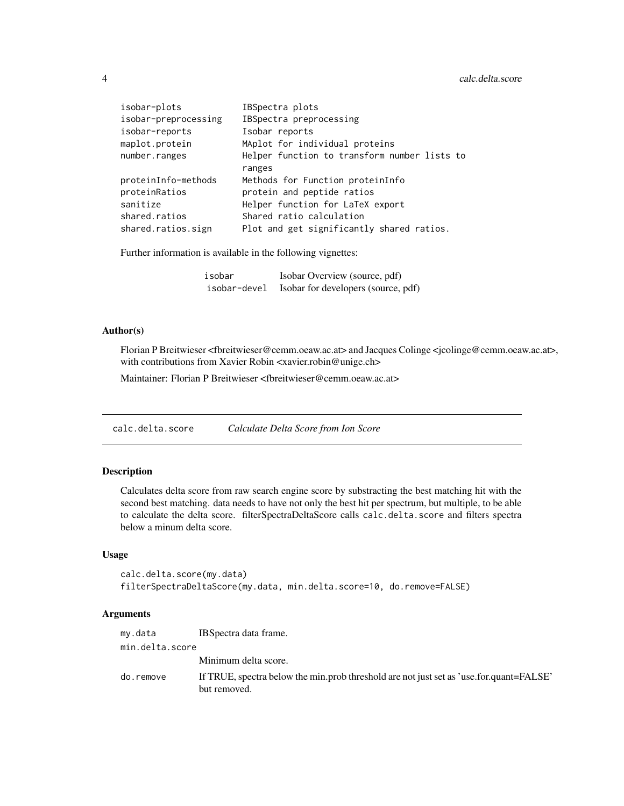| isobar-plots         | IBSpectra plots                              |
|----------------------|----------------------------------------------|
| isobar-preprocessing | IBSpectra preprocessing                      |
| isobar-reports       | Isobar reports                               |
| maplot.protein       | MAplot for individual proteins               |
| number.ranges        | Helper function to transform number lists to |
|                      | ranges                                       |
| proteinInfo-methods  | Methods for Function proteinInfo             |
| proteinRatios        | protein and peptide ratios                   |
| sanitize             | Helper function for LaTeX export             |
| shared.ratios        | Shared ratio calculation                     |
| shared.ratios.sign   | Plot and get significantly shared ratios.    |

Further information is available in the following vignettes:

| isobar       | Isobar Overview (source, pdf)       |
|--------------|-------------------------------------|
| isobar-devel | Isobar for developers (source, pdf) |

## Author(s)

Florian P Breitwieser <fbreitwieser@cemm.oeaw.ac.at> and Jacques Colinge <jcolinge@cemm.oeaw.ac.at>, with contributions from Xavier Robin <xavier.robin@unige.ch>

Maintainer: Florian P Breitwieser <fbreitwieser@cemm.oeaw.ac.at>

calc.delta.score *Calculate Delta Score from Ion Score*

## Description

Calculates delta score from raw search engine score by substracting the best matching hit with the second best matching. data needs to have not only the best hit per spectrum, but multiple, to be able to calculate the delta score. filterSpectraDeltaScore calls calc.delta.score and filters spectra below a minum delta score.

## Usage

```
calc.delta.score(my.data)
filterSpectraDeltaScore(my.data, min.delta.score=10, do.remove=FALSE)
```
#### Arguments

| my.data         | IBS pectra data frame.                                                                                  |
|-----------------|---------------------------------------------------------------------------------------------------------|
| min.delta.score |                                                                                                         |
|                 | Minimum delta score.                                                                                    |
| do.remove       | If TRUE, spectra below the min.prob threshold are not just set as 'use.for.quant=FALSE'<br>but removed. |

<span id="page-3-0"></span>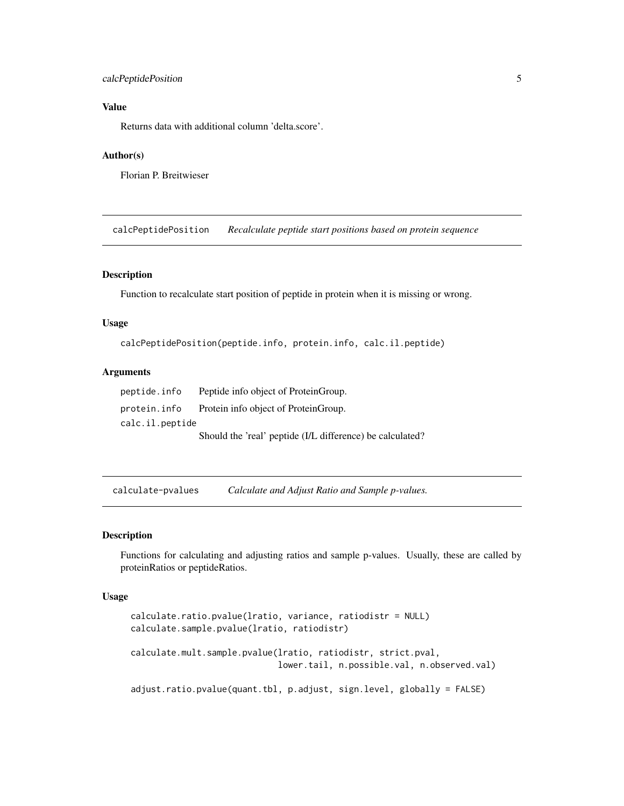## <span id="page-4-0"></span>calcPeptidePosition 5

## Value

Returns data with additional column 'delta.score'.

#### Author(s)

Florian P. Breitwieser

calcPeptidePosition *Recalculate peptide start positions based on protein sequence*

## Description

Function to recalculate start position of peptide in protein when it is missing or wrong.

#### Usage

calcPeptidePosition(peptide.info, protein.info, calc.il.peptide)

#### Arguments

peptide.info Peptide info object of ProteinGroup. protein.info Protein info object of ProteinGroup. calc.il.peptide Should the 'real' peptide (I/L difference) be calculated?

calculate-pvalues *Calculate and Adjust Ratio and Sample p-values.*

#### Description

Functions for calculating and adjusting ratios and sample p-values. Usually, these are called by proteinRatios or peptideRatios.

## Usage

```
calculate.ratio.pvalue(lratio, variance, ratiodistr = NULL)
calculate.sample.pvalue(lratio, ratiodistr)
calculate.mult.sample.pvalue(lratio, ratiodistr, strict.pval,
                             lower.tail, n.possible.val, n.observed.val)
```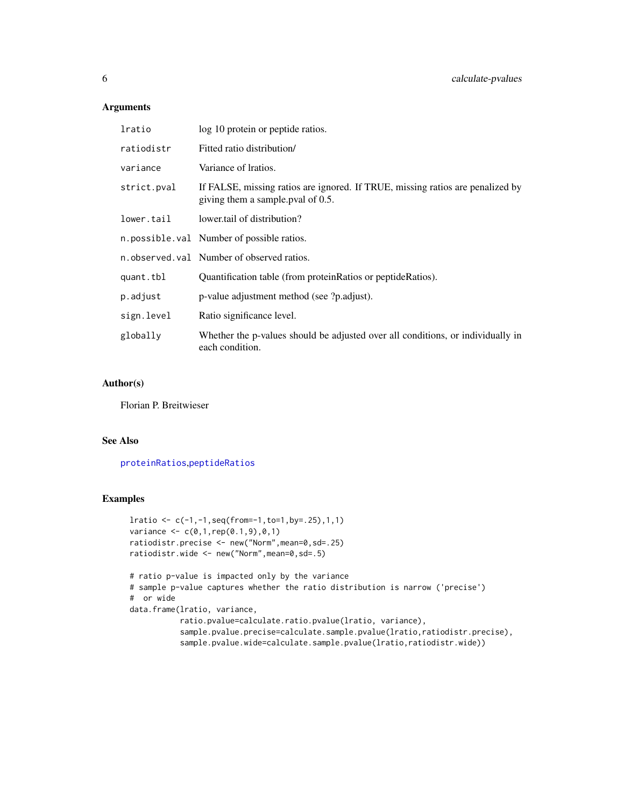## <span id="page-5-0"></span>Arguments

| lratio      | log 10 protein or peptide ratios.                                                                                   |
|-------------|---------------------------------------------------------------------------------------------------------------------|
| ratiodistr  | Fitted ratio distribution/                                                                                          |
| variance    | Variance of Iratios.                                                                                                |
| strict.pval | If FALSE, missing ratios are ignored. If TRUE, missing ratios are penalized by<br>giving them a sample pval of 0.5. |
| lower.tail  | lower tail of distribution?                                                                                         |
|             | n.possible.val Number of possible ratios.                                                                           |
|             | n.observed.val Number of observed ratios.                                                                           |
| quant.tbl   | Quantification table (from protein Ratios or peptide Ratios).                                                       |
| p.adjust    | p-value adjustment method (see ?p.adjust).                                                                          |
| sign.level  | Ratio significance level.                                                                                           |
| globally    | Whether the p-values should be adjusted over all conditions, or individually in<br>each condition.                  |

## Author(s)

Florian P. Breitwieser

#### See Also

[proteinRatios](#page-36-1),[peptideRatios](#page-36-1)

```
lratio <- c(-1,-1,seq(from=-1,to=1,by=.25),1,1)
variance \leq c(0,1, rep(0.1,9),0,1)ratiodistr.precise <- new("Norm",mean=0,sd=.25)
ratiodistr.wide <- new("Norm",mean=0,sd=.5)
# ratio p-value is impacted only by the variance
# sample p-value captures whether the ratio distribution is narrow ('precise')
# or wide
data.frame(lratio, variance,
           ratio.pvalue=calculate.ratio.pvalue(lratio, variance),
           sample.pvalue.precise=calculate.sample.pvalue(lratio,ratiodistr.precise),
           sample.pvalue.wide=calculate.sample.pvalue(lratio,ratiodistr.wide))
```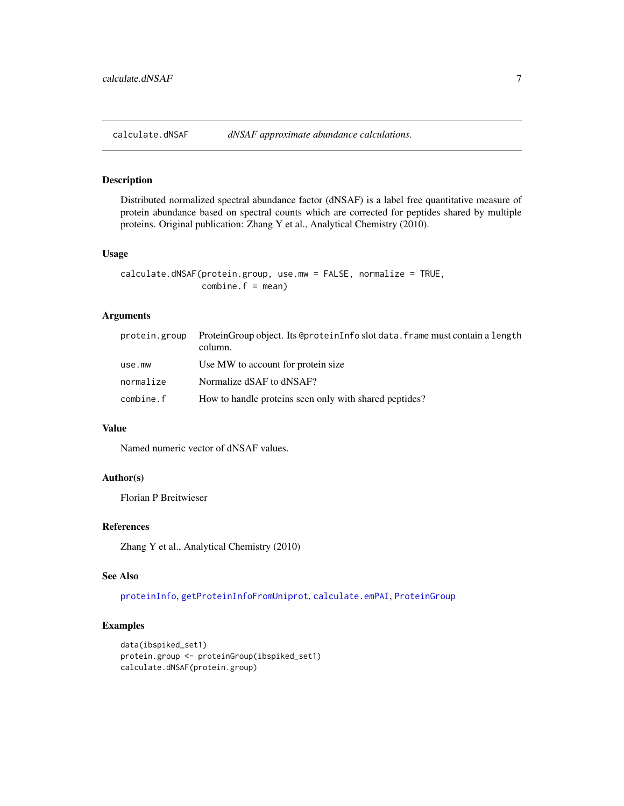<span id="page-6-1"></span><span id="page-6-0"></span>calculate.dNSAF *dNSAF approximate abundance calculations.*

## Description

Distributed normalized spectral abundance factor (dNSAF) is a label free quantitative measure of protein abundance based on spectral counts which are corrected for peptides shared by multiple proteins. Original publication: Zhang Y et al., Analytical Chemistry (2010).

#### Usage

```
calculate.dNSAF(protein.group, use.mw = FALSE, normalize = TRUE,
                combine.f = mean)
```
## Arguments

| protein.group | ProteinGroup object. Its @proteinInfo slot data. frame must contain a length<br>column. |
|---------------|-----------------------------------------------------------------------------------------|
| use.mw        | Use MW to account for protein size.                                                     |
| normalize     | Normalize dSAF to dNSAF?                                                                |
| combine.f     | How to handle proteins seen only with shared peptides?                                  |

## Value

Named numeric vector of dNSAF values.

#### Author(s)

Florian P Breitwieser

## References

Zhang Y et al., Analytical Chemistry (2010)

## See Also

[proteinInfo](#page-41-1), [getProteinInfoFromUniprot](#page-41-1), [calculate.emPAI](#page-7-1), [ProteinGroup](#page-39-1)

```
data(ibspiked_set1)
protein.group <- proteinGroup(ibspiked_set1)
calculate.dNSAF(protein.group)
```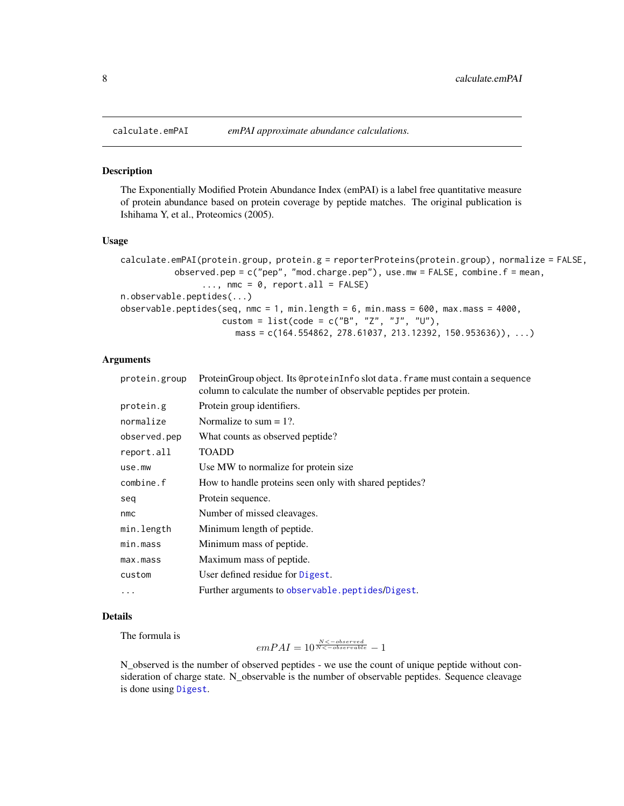<span id="page-7-2"></span><span id="page-7-1"></span><span id="page-7-0"></span>

The Exponentially Modified Protein Abundance Index (emPAI) is a label free quantitative measure of protein abundance based on protein coverage by peptide matches. The original publication is Ishihama Y, et al., Proteomics (2005).

#### Usage

```
calculate.emPAI(protein.group, protein.g = reporterProteins(protein.group), normalize = FALSE,
           observed.pep = c("pep", "mod.charge.pep"), use.mw = FALSE, combine.f = mean,
                \ldots, nmc = 0, report.all = FALSE)
n.observable.peptides(...)
observable.peptides(seq, nmc = 1, min.length = 6, min.mass = 600, max.mass = 4000,
                    custom = list(code = c("B", "Z", "J", "U"),
                       mass = c(164.554862, 278.61037, 213.12392, 150.953636)), ...)
```
#### **Arguments**

| protein.group | ProteinGroup object. Its @proteinInfo slot data. frame must contain a sequence<br>column to calculate the number of observable peptides per protein. |
|---------------|------------------------------------------------------------------------------------------------------------------------------------------------------|
| protein.g     | Protein group identifiers.                                                                                                                           |
| normalize     | Normalize to sum $= 1$ ?.                                                                                                                            |
| observed.pep  | What counts as observed peptide?                                                                                                                     |
| report.all    | <b>TOADD</b>                                                                                                                                         |
| use.mw        | Use MW to normalize for protein size.                                                                                                                |
| combine.f     | How to handle proteins seen only with shared peptides?                                                                                               |
| seq           | Protein sequence.                                                                                                                                    |
| nmc           | Number of missed cleavages.                                                                                                                          |
| min.length    | Minimum length of peptide.                                                                                                                           |
| min.mass      | Minimum mass of peptide.                                                                                                                             |
| max.mass      | Maximum mass of peptide.                                                                                                                             |
| custom        | User defined residue for Digest.                                                                                                                     |
| .             | Further arguments to observable.peptides/Digest.                                                                                                     |

#### Details

The formula is

 $emPAI = 10^{\frac{N<-observed}{N<-observed}}-1$ 

N\_observed is the number of observed peptides - we use the count of unique peptide without consideration of charge state. N\_observable is the number of observable peptides. Sequence cleavage is done using [Digest](#page-0-0).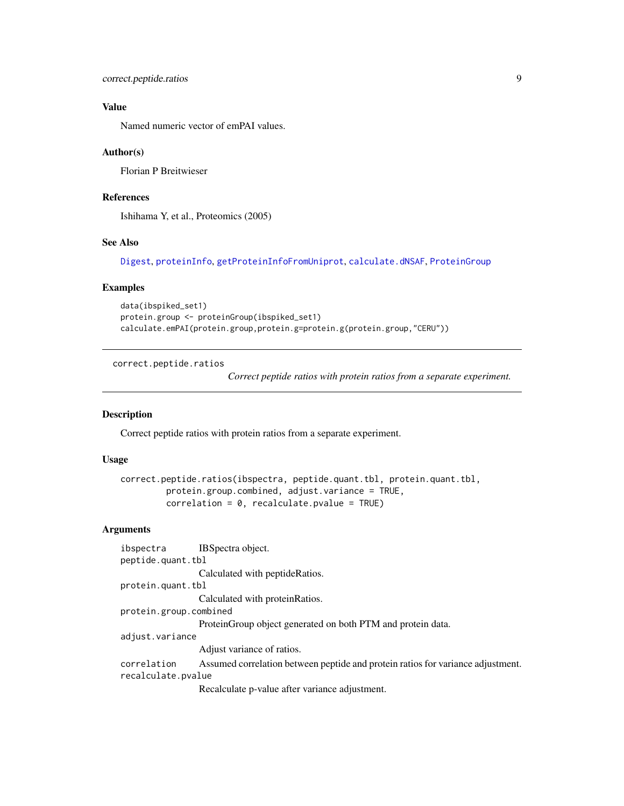```
correct.peptide.ratios 9
```
## Value

Named numeric vector of emPAI values.

#### Author(s)

Florian P Breitwieser

## References

Ishihama Y, et al., Proteomics (2005)

## See Also

[Digest](#page-0-0), [proteinInfo](#page-41-1), [getProteinInfoFromUniprot](#page-41-1), [calculate.dNSAF](#page-6-1), [ProteinGroup](#page-39-1)

#### Examples

```
data(ibspiked_set1)
protein.group <- proteinGroup(ibspiked_set1)
calculate.emPAI(protein.group,protein.g=protein.g(protein.group,"CERU"))
```
correct.peptide.ratios

*Correct peptide ratios with protein ratios from a separate experiment.*

## Description

Correct peptide ratios with protein ratios from a separate experiment.

## Usage

```
correct.peptide.ratios(ibspectra, peptide.quant.tbl, protein.quant.tbl,
         protein.group.combined, adjust.variance = TRUE,
         correlation = 0, recalculate.pvalue = TRUE
```
### Arguments

```
ibspectra IBSpectra object.
peptide.quant.tbl
                 Calculated with peptideRatios.
protein.quant.tbl
                 Calculated with proteinRatios.
protein.group.combined
                 ProteinGroup object generated on both PTM and protein data.
adjust.variance
                 Adjust variance of ratios.
correlation Assumed correlation between peptide and protein ratios for variance adjustment.
recalculate.pvalue
                 Recalculate p-value after variance adjustment.
```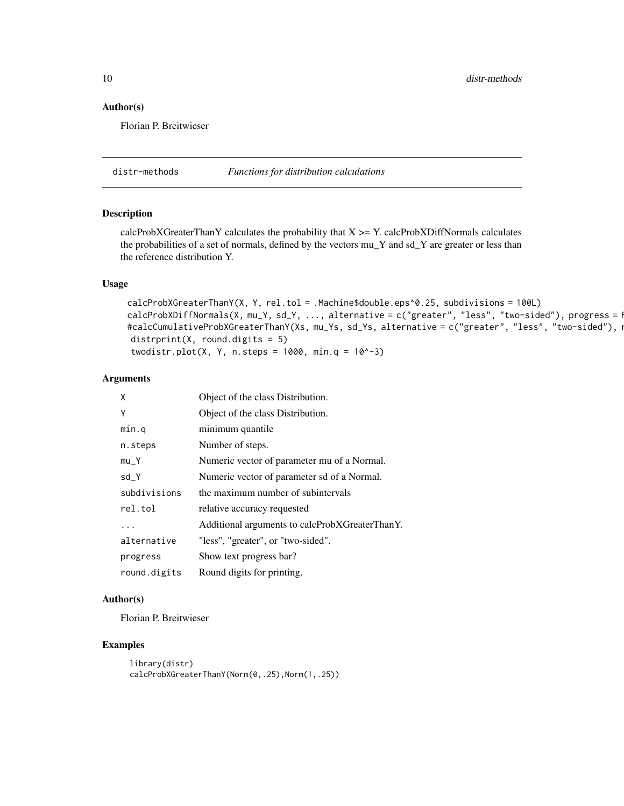<span id="page-9-0"></span>10 distr-methods

#### Author(s)

Florian P. Breitwieser

distr-methods *Functions for distribution calculations*

#### <span id="page-9-1"></span>Description

calcProbXGreaterThanY calculates the probability that  $X \geq Y$ . calcProbXDiffNormals calculates the probabilities of a set of normals, defined by the vectors mu\_Y and sd\_Y are greater or less than the reference distribution Y.

#### Usage

```
calcProbXGreaterThanY(X, Y, rel.tol = .Machine$double.eps^0.25, subdivisions = 100L)
calcProbXDiffNormals(X, mu_Y, sd_Y, ..., alternative = c("greater", "less", "two-sided"), progress = R#calcCumulativeProbXGreaterThanY(Xs, mu_Ys, sd_Ys, alternative = c("greater", "less", "two-sided"), i
distrprint(X, round.digits = 5)
twodistr.plot(X, Y, n.steps = 1000, min.q = 10^x-3)
```
#### Arguments

| X            | Object of the class Distribution.              |
|--------------|------------------------------------------------|
| Υ            | Object of the class Distribution.              |
| min.q        | minimum quantile                               |
| n.steps      | Number of steps.                               |
| $mu_Y$       | Numeric vector of parameter mu of a Normal.    |
| $sd_Y$       | Numeric vector of parameter sd of a Normal.    |
| subdivisions | the maximum number of subintervals             |
| rel.tol      | relative accuracy requested                    |
|              | Additional arguments to calcProbXGreaterThanY. |
| alternative  | "less", "greater", or "two-sided".             |
| progress     | Show text progress bar?                        |
| round.digits | Round digits for printing.                     |

#### Author(s)

Florian P. Breitwieser

```
library(distr)
calcProbXGreaterThanY(Norm(0,.25),Norm(1,.25))
```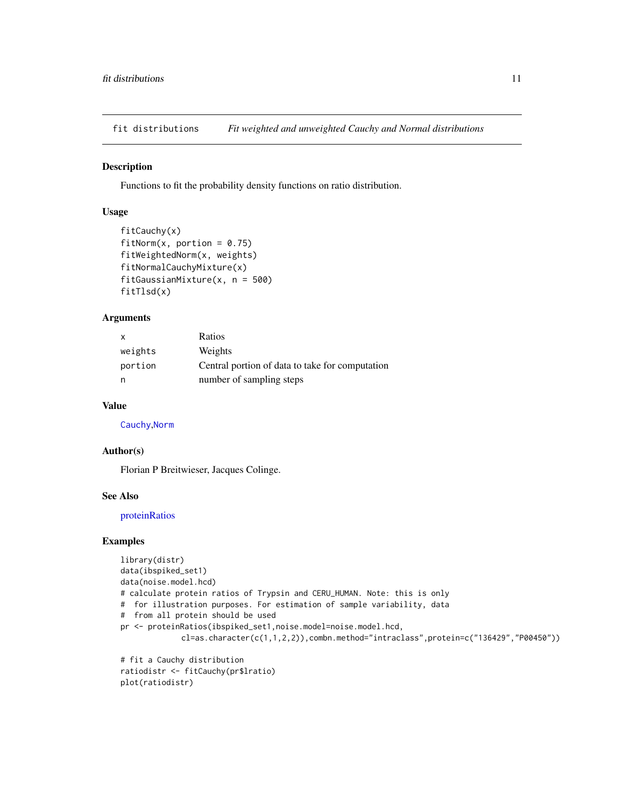<span id="page-10-0"></span>fit distributions *Fit weighted and unweighted Cauchy and Normal distributions*

#### Description

Functions to fit the probability density functions on ratio distribution.

## Usage

```
fitCauchy(x)
fitNorm(x, portion = 0.75)
fitWeightedNorm(x, weights)
fitNormalCauchyMixture(x)
fitGaussianMixture(x, n = 500)
fitTlsd(x)
```
## Arguments

| $\mathsf{x}$ | Ratios                                          |
|--------------|-------------------------------------------------|
| weights      | Weights                                         |
| portion      | Central portion of data to take for computation |
| n            | number of sampling steps                        |

#### Value

[Cauchy](#page-0-0),[Norm](#page-0-0)

## Author(s)

Florian P Breitwieser, Jacques Colinge.

#### See Also

[proteinRatios](#page-36-1)

```
library(distr)
data(ibspiked_set1)
data(noise.model.hcd)
# calculate protein ratios of Trypsin and CERU_HUMAN. Note: this is only
# for illustration purposes. For estimation of sample variability, data
# from all protein should be used
pr <- proteinRatios(ibspiked_set1,noise.model=noise.model.hcd,
             cl=as.character(c(1,1,2,2)),combn.method="intraclass",protein=c("136429","P00450"))
# fit a Cauchy distribution
```

```
ratiodistr <- fitCauchy(pr$lratio)
plot(ratiodistr)
```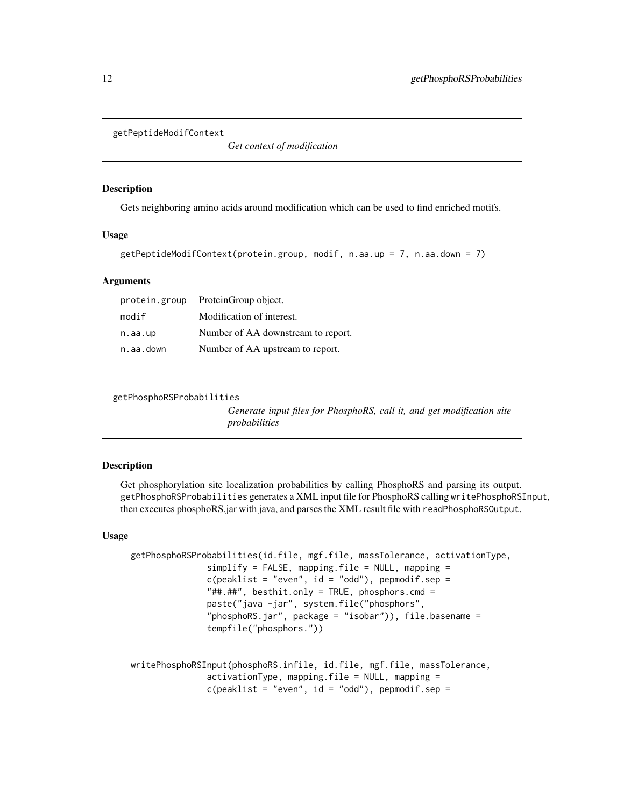```
getPeptideModifContext
```
*Get context of modification*

#### **Description**

Gets neighboring amino acids around modification which can be used to find enriched motifs.

## Usage

```
getPeptideModifContext(protein.group, modif, n.aa.up = 7, n.aa.down = 7)
```
#### Arguments

| protein.group | ProteinGroup object.               |
|---------------|------------------------------------|
| modif         | Modification of interest.          |
| n.aa.up       | Number of AA downstream to report. |
| n.aa.down     | Number of AA upstream to report.   |

```
getPhosphoRSProbabilities
```
*Generate input files for PhosphoRS, call it, and get modification site probabilities*

## Description

Get phosphorylation site localization probabilities by calling PhosphoRS and parsing its output. getPhosphoRSProbabilities generates a XML input file for PhosphoRS calling writePhosphoRSInput, then executes phosphoRS.jar with java, and parses the XML result file with readPhosphoRSOutput.

## Usage

```
getPhosphoRSProbabilities(id.file, mgf.file, massTolerance, activationType,
               simplify = FALSE, mapping.file = NULL, mapping =c(\text{peaklist} = "even", id = "odd"), \text{pepmodi}f.\text{sep} ="##.##", besthit.only = TRUE, phosphors.cmd =
               paste("java -jar", system.file("phosphors",
                "phosphoRS.jar", package = "isobar")), file.basename =
               tempfile("phosphors."))
```

```
writePhosphoRSInput(phosphoRS.infile, id.file, mgf.file, massTolerance,
                 activationType, mapping.file = NULL, mapping =
                 c(\text{peaklist} = "even", \text{ id} = "odd"), \text{pepmodi}f.\text{sep} =
```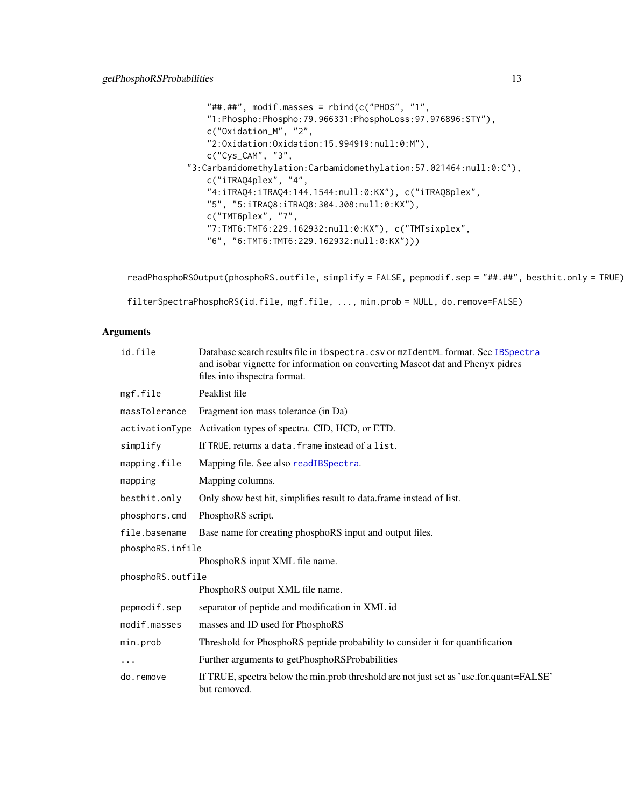```
"##.*#"", modif.masses = rbind(c("PHOS", "1",
   "1:Phospho:Phospho:79.966331:PhosphoLoss:97.976896:STY"),
   c("Oxidation_M", "2",
   "2:Oxidation:Oxidation:15.994919:null:0:M"),
   c("Cys_CAM", "3",
"3:Carbamidomethylation:Carbamidomethylation:57.021464:null:0:C"),
   c("iTRAQ4plex", "4",
   "4:iTRAQ4:iTRAQ4:144.1544:null:0:KX"), c("iTRAQ8plex",
   "5", "5:iTRAQ8:iTRAQ8:304.308:null:0:KX"),
   c("TMT6plex", "7",
   "7:TMT6:TMT6:229.162932:null:0:KX"), c("TMTsixplex",
   "6", "6:TMT6:TMT6:229.162932:null:0:KX")))
```
readPhosphoRSOutput(phosphoRS.outfile, simplify = FALSE, pepmodif.sep = "##.##", besthit.only = TRUE)

filterSpectraPhosphoRS(id.file, mgf.file, ..., min.prob = NULL, do.remove=FALSE)

## Arguments

| id.file           | Database search results file in ibspectra.csv or mzIdentML format. See IBSpectra<br>and isobar vignette for information on converting Mascot dat and Phenyx pidres<br>files into ibspectra format. |
|-------------------|----------------------------------------------------------------------------------------------------------------------------------------------------------------------------------------------------|
| mgf.file          | Peaklist file                                                                                                                                                                                      |
| massTolerance     | Fragment ion mass tolerance (in Da)                                                                                                                                                                |
|                   | activationType Activation types of spectra. CID, HCD, or ETD.                                                                                                                                      |
| simplify          | If TRUE, returns a data. frame instead of a list.                                                                                                                                                  |
| mapping.file      | Mapping file. See also readIBSpectra.                                                                                                                                                              |
| mapping           | Mapping columns.                                                                                                                                                                                   |
| besthit.only      | Only show best hit, simplifies result to data. frame instead of list.                                                                                                                              |
| phosphors.cmd     | PhosphoRS script.                                                                                                                                                                                  |
| file.basename     | Base name for creating phosphoRS input and output files.                                                                                                                                           |
| phosphoRS.infile  |                                                                                                                                                                                                    |
|                   | PhosphoRS input XML file name.                                                                                                                                                                     |
| phosphoRS.outfile |                                                                                                                                                                                                    |
|                   | PhosphoRS output XML file name.                                                                                                                                                                    |
| pepmodif.sep      | separator of peptide and modification in XML id                                                                                                                                                    |
| modif.masses      | masses and ID used for PhosphoRS                                                                                                                                                                   |
| min.prob          | Threshold for PhosphoRS peptide probability to consider it for quantification                                                                                                                      |
|                   | Further arguments to getPhosphoRSProbabilities                                                                                                                                                     |
| do.remove         | If TRUE, spectra below the min.prob threshold are not just set as 'use.for.quant=FALSE'<br>but removed.                                                                                            |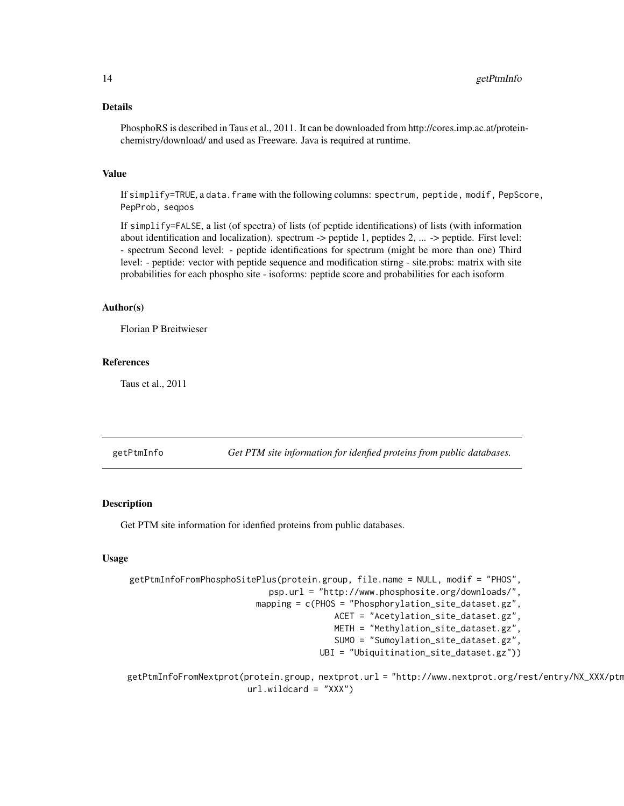#### <span id="page-13-0"></span>Details

PhosphoRS is described in Taus et al., 2011. It can be downloaded from http://cores.imp.ac.at/proteinchemistry/download/ and used as Freeware. Java is required at runtime.

#### Value

If simplify=TRUE, a data.frame with the following columns: spectrum, peptide, modif, PepScore, PepProb, seqpos

If simplify=FALSE, a list (of spectra) of lists (of peptide identifications) of lists (with information about identification and localization). spectrum -> peptide 1, peptides 2, ... -> peptide. First level: - spectrum Second level: - peptide identifications for spectrum (might be more than one) Third level: - peptide: vector with peptide sequence and modification stirng - site.probs: matrix with site probabilities for each phospho site - isoforms: peptide score and probabilities for each isoform

#### Author(s)

Florian P Breitwieser

#### References

Taus et al., 2011

getPtmInfo *Get PTM site information for idenfied proteins from public databases.*

## Description

Get PTM site information for idenfied proteins from public databases.

#### Usage

```
getPtmInfoFromPhosphoSitePlus(protein.group, file.name = NULL, modif = "PHOS",
                            psp.url = "http://www.phosphosite.org/downloads/",
                         mapping = c(PHOS = "Phosphorylation_site_dataset.gz",
                                         ACET = "Acetylation_site_dataset.gz",
                                         METH = "Methylation_site_dataset.gz",
                                         SUMO = "Sumoylation_site_dataset.gz",
                                      UBI = "Ubiquitination_site_dataset.gz"))
```
getPtmInfoFromNextprot(protein.group, nextprot.url = "http://www.nextprot.org/rest/entry/NX\_XXX/ptm url.wildcard = "XXX")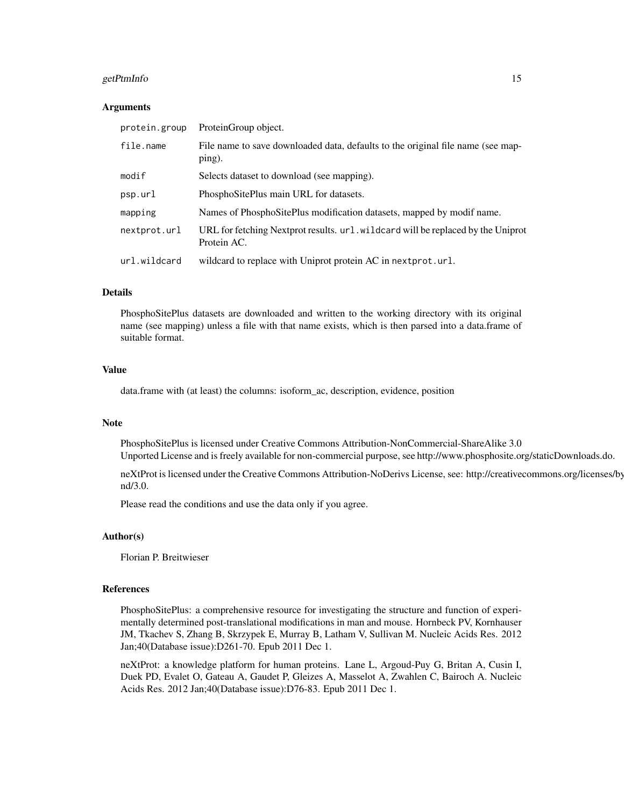#### getPtmInfo 15

#### Arguments

| protein.group | ProteinGroup object.                                                                            |
|---------------|-------------------------------------------------------------------------------------------------|
| file.name     | File name to save downloaded data, defaults to the original file name (see map-<br>ping).       |
| modif         | Selects dataset to download (see mapping).                                                      |
| psp.url       | PhosphoSitePlus main URL for datasets.                                                          |
| mapping       | Names of PhosphoSitePlus modification datasets, mapped by modif name.                           |
| nextprot.url  | URL for fetching Nextprot results. url. wildcard will be replaced by the Uniprot<br>Protein AC. |
| url.wildcard  | wildcard to replace with Uniprot protein AC in nextprot.url.                                    |

#### Details

PhosphoSitePlus datasets are downloaded and written to the working directory with its original name (see mapping) unless a file with that name exists, which is then parsed into a data.frame of suitable format.

## Value

data.frame with (at least) the columns: isoform\_ac, description, evidence, position

#### **Note**

PhosphoSitePlus is licensed under Creative Commons Attribution-NonCommercial-ShareAlike 3.0 Unported License and is freely available for non-commercial purpose, see http://www.phosphosite.org/staticDownloads.do.

neXtProt is licensed under the Creative Commons Attribution-NoDerivs License, see: http://creativecommons.org/licenses/bynd/3.0.

Please read the conditions and use the data only if you agree.

#### Author(s)

Florian P. Breitwieser

## References

PhosphoSitePlus: a comprehensive resource for investigating the structure and function of experimentally determined post-translational modifications in man and mouse. Hornbeck PV, Kornhauser JM, Tkachev S, Zhang B, Skrzypek E, Murray B, Latham V, Sullivan M. Nucleic Acids Res. 2012 Jan;40(Database issue):D261-70. Epub 2011 Dec 1.

neXtProt: a knowledge platform for human proteins. Lane L, Argoud-Puy G, Britan A, Cusin I, Duek PD, Evalet O, Gateau A, Gaudet P, Gleizes A, Masselot A, Zwahlen C, Bairoch A. Nucleic Acids Res. 2012 Jan;40(Database issue):D76-83. Epub 2011 Dec 1.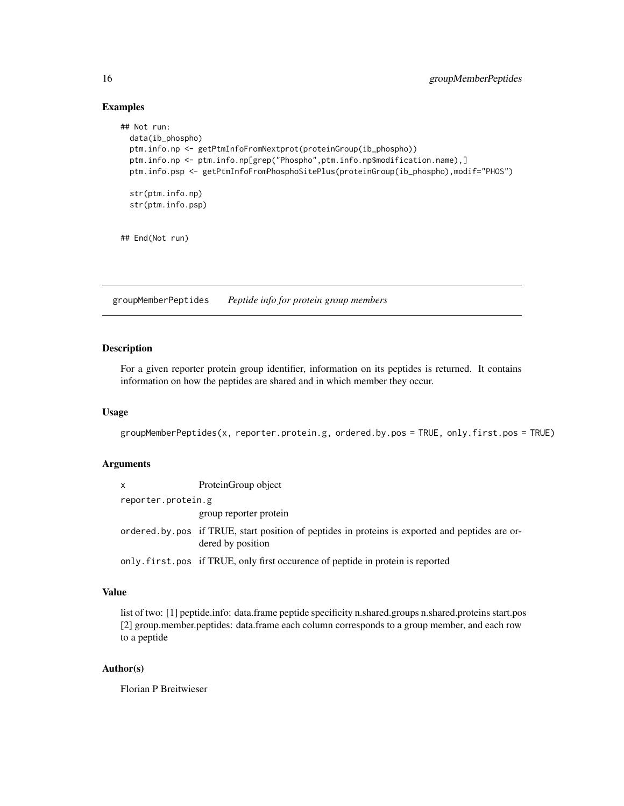## Examples

```
## Not run:
 data(ib_phospho)
 ptm.info.np <- getPtmInfoFromNextprot(proteinGroup(ib_phospho))
 ptm.info.np <- ptm.info.np[grep("Phospho",ptm.info.np$modification.name),]
 ptm.info.psp <- getPtmInfoFromPhosphoSitePlus(proteinGroup(ib_phospho),modif="PHOS")
 str(ptm.info.np)
 str(ptm.info.psp)
## End(Not run)
```
groupMemberPeptides *Peptide info for protein group members*

## Description

For a given reporter protein group identifier, information on its peptides is returned. It contains information on how the peptides are shared and in which member they occur.

#### Usage

```
groupMemberPeptides(x, reporter.protein.g, ordered.by.pos = TRUE, only.first.pos = TRUE)
```
## Arguments

| $\mathsf{x}$       | ProteinGroup object                                                                               |
|--------------------|---------------------------------------------------------------------------------------------------|
| reporter.protein.g |                                                                                                   |
|                    | group reporter protein                                                                            |
|                    | ordered by position of peptides in proteins is exported and peptides are or-<br>dered by position |
|                    | only.first.pos if TRUE, only first occurence of peptide in protein is reported                    |

## Value

list of two: [1] peptide.info: data.frame peptide specificity n.shared.groups n.shared.proteins start.pos [2] group.member.peptides: data.frame each column corresponds to a group member, and each row to a peptide

#### Author(s)

Florian P Breitwieser

<span id="page-15-0"></span>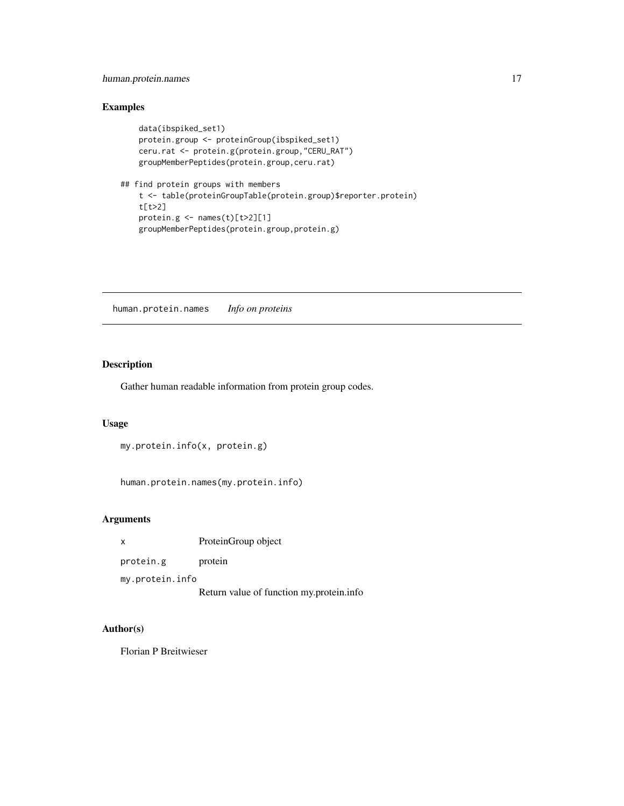## <span id="page-16-0"></span>human.protein.names 17

## Examples

```
data(ibspiked_set1)
   protein.group <- proteinGroup(ibspiked_set1)
   ceru.rat <- protein.g(protein.group,"CERU_RAT")
   groupMemberPeptides(protein.group,ceru.rat)
## find protein groups with members
   t <- table(proteinGroupTable(protein.group)$reporter.protein)
   t[t>2]
   protein.g < - names(t)[t>2][1]groupMemberPeptides(protein.group,protein.g)
```
human.protein.names *Info on proteins*

## Description

Gather human readable information from protein group codes.

#### Usage

```
my.protein.info(x, protein.g)
```
human.protein.names(my.protein.info)

#### Arguments

x ProteinGroup object

protein.g protein

my.protein.info

Return value of function my.protein.info

#### Author(s)

Florian P Breitwieser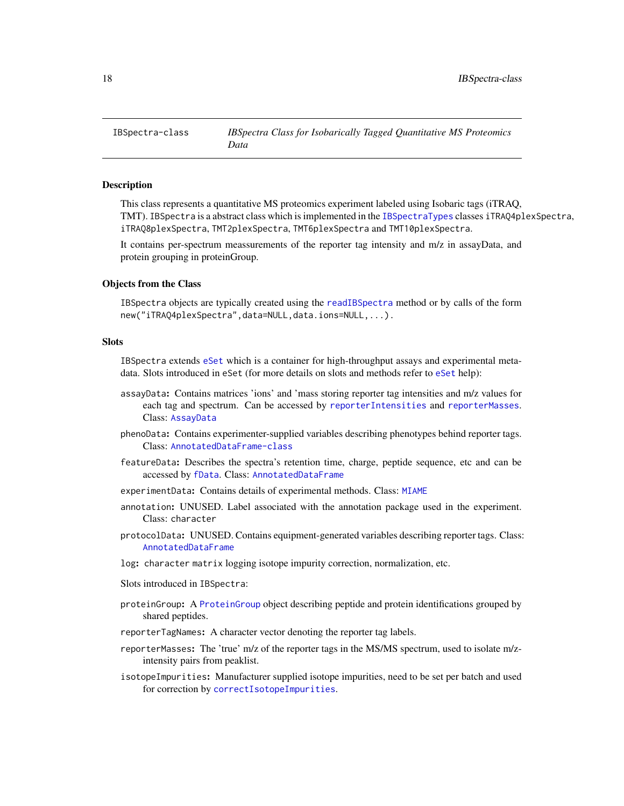<span id="page-17-1"></span><span id="page-17-0"></span>

This class represents a quantitative MS proteomics experiment labeled using Isobaric tags (iTRAQ, TMT). IBSpectra is a abstract class which is implemented in the [IBSpectraTypes](#page-17-1) classes iTRAQ4plexSpectra, iTRAQ8plexSpectra, TMT2plexSpectra, TMT6plexSpectra and TMT10plexSpectra.

It contains per-spectrum meassurements of the reporter tag intensity and m/z in assayData, and protein grouping in proteinGroup.

#### Objects from the Class

IBSpectra objects are typically created using the [readIBSpectra](#page-24-1) method or by calls of the form new("iTRAQ4plexSpectra",data=NULL,data.ions=NULL,...).

## **Slots**

IBSpectra extends [eSet](#page-0-0) which is a container for high-throughput assays and experimental metadata. Slots introduced in eSet (for more details on slots and methods refer to [eSet](#page-0-0) help):

- assayData: Contains matrices 'ions' and 'mass storing reporter tag intensities and m/z values for each tag and spectrum. Can be accessed by [reporterIntensities](#page-17-1) and [reporterMasses](#page-17-1). Class: [AssayData](#page-0-0)
- phenoData: Contains experimenter-supplied variables describing phenotypes behind reporter tags. Class: [AnnotatedDataFrame-class](#page-0-0)
- featureData: Describes the spectra's retention time, charge, peptide sequence, etc and can be accessed by [fData](#page-0-0). Class: [AnnotatedDataFrame](#page-0-0)
- experimentData: Contains details of experimental methods. Class: [MIAME](#page-0-0)
- annotation: UNUSED. Label associated with the annotation package used in the experiment. Class: character
- protocolData: UNUSED. Contains equipment-generated variables describing reporter tags. Class: [AnnotatedDataFrame](#page-0-0)
- log: character matrix logging isotope impurity correction, normalization, etc.
- Slots introduced in IBSpectra:
- proteinGroup: A [ProteinGroup](#page-39-1) object describing peptide and protein identifications grouped by shared peptides.
- reporterTagNames: A character vector denoting the reporter tag labels.
- reporterMasses: The 'true' m/z of the reporter tags in the MS/MS spectrum, used to isolate m/zintensity pairs from peaklist.
- isotopeImpurities: Manufacturer supplied isotope impurities, need to be set per batch and used for correction by [correctIsotopeImpurities](#page-27-1).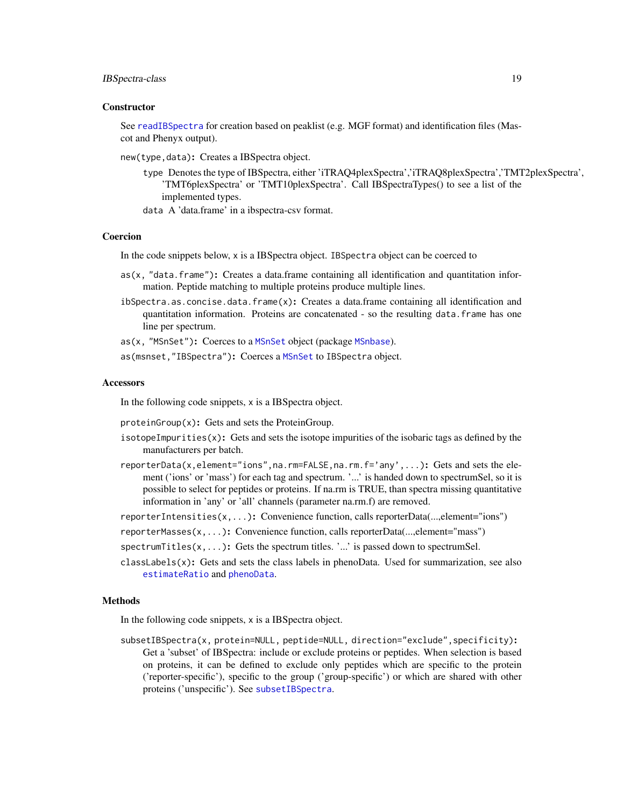## <span id="page-18-0"></span>IBSpectra-class 19

#### **Constructor**

See [readIBSpectra](#page-24-1) for creation based on peaklist (e.g. MGF format) and identification files (Mascot and Phenyx output).

new(type,data): Creates a IBSpectra object.

- type Denotes the type of IBSpectra, either 'iTRAQ4plexSpectra','iTRAQ8plexSpectra','TMT2plexSpectra', 'TMT6plexSpectra' or 'TMT10plexSpectra'. Call IBSpectraTypes() to see a list of the implemented types.
- data A 'data.frame' in a ibspectra-csv format.

#### Coercion

In the code snippets below, x is a IBSpectra object. IBSpectra object can be coerced to

- as(x, "data.frame"): Creates a data.frame containing all identification and quantitation information. Peptide matching to multiple proteins produce multiple lines.
- ibSpectra.as.concise.data.frame(x): Creates a data.frame containing all identification and quantitation information. Proteins are concatenated - so the resulting data.frame has one line per spectrum.

as(x, "[MSnSet](#page-0-0)"): Coerces to a MSnSet object (package [MSnbase](#page-0-0)).

as(msnset,"IBSpectra"): Coerces a [MSnSet](#page-0-0) to IBSpectra object.

#### **Accessors**

In the following code snippets, x is a IBSpectra object.

proteinGroup(x): Gets and sets the ProteinGroup.

- isotopeImpurities $(x)$ : Gets and sets the isotope impurities of the isobaric tags as defined by the manufacturers per batch.
- reporterData(x,element="ions",na.rm=FALSE,na.rm.f='any',...): Gets and sets the element ('ions' or 'mass') for each tag and spectrum. '...' is handed down to spectrumSel, so it is possible to select for peptides or proteins. If na.rm is TRUE, than spectra missing quantitative information in 'any' or 'all' channels (parameter na.rm.f) are removed.
- reporterIntensities(x,...): Convenience function, calls reporterData(...,element="ions")
- reporterMasses(x,...): Convenience function, calls reporterData(...,element="mass")
- spectrum Titles $(x, \ldots)$ : Gets the spectrum titles. '...' is passed down to spectrum Sel.
- classLabels(x): Gets and sets the class labels in phenoData. Used for summarization, see also [estimateRatio](#page-21-1) and [phenoData](#page-0-0).

#### Methods

In the following code snippets, x is a IBSpectra object.

subsetIBSpectra(x, protein=NULL, peptide=NULL, direction="exclude",specificity): Get a 'subset' of IBSpectra: include or exclude proteins or peptides. When selection is based on proteins, it can be defined to exclude only peptides which are specific to the protein ('reporter-specific'), specific to the group ('group-specific') or which are shared with other proteins ('unspecific'). See [subsetIBSpectra](#page-48-1).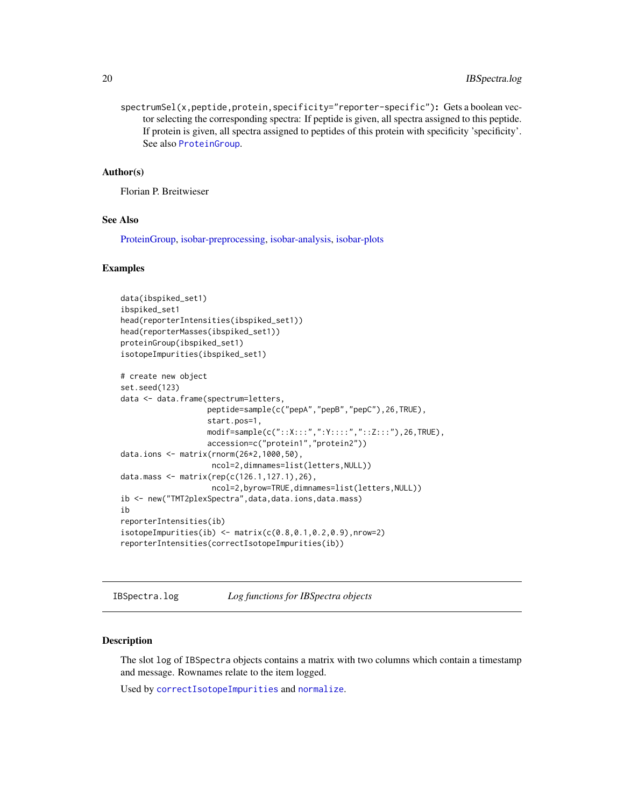<span id="page-19-0"></span>spectrumSel(x,peptide,protein,specificity="reporter-specific"): Gets a boolean vector selecting the corresponding spectra: If peptide is given, all spectra assigned to this peptide. If protein is given, all spectra assigned to peptides of this protein with specificity 'specificity'. See also [ProteinGroup](#page-39-1).

#### Author(s)

Florian P. Breitwieser

#### See Also

[ProteinGroup,](#page-39-1) [isobar-preprocessing,](#page-27-2) [isobar-analysis,](#page-21-2) [isobar-plots](#page-26-1)

#### Examples

```
data(ibspiked_set1)
ibspiked_set1
head(reporterIntensities(ibspiked_set1))
head(reporterMasses(ibspiked_set1))
proteinGroup(ibspiked_set1)
isotopeImpurities(ibspiked_set1)
# create new object
set.seed(123)
data <- data.frame(spectrum=letters,
                   peptide=sample(c("pepA","pepB","pepC"),26,TRUE),
                   start.pos=1,
                   modif=sample(c("::X:::",":Y::::","::Z:::"),26,TRUE),
                   accession=c("protein1","protein2"))
data.ions <- matrix(rnorm(26*2,1000,50),
                    ncol=2,dimnames=list(letters,NULL))
data.mass <- matrix(rep(c(126.1,127.1),26),
                    ncol=2,byrow=TRUE,dimnames=list(letters,NULL))
ib <- new("TMT2plexSpectra",data,data.ions,data.mass)
ib
reporterIntensities(ib)
isotopeImpurities(ib) < - matrix(c(0.8, 0.1, 0.2, 0.9), nrow=2)reporterIntensities(correctIsotopeImpurities(ib))
```
IBSpectra.log *Log functions for IBSpectra objects*

#### Description

The slot log of IBSpectra objects contains a matrix with two columns which contain a timestamp and message. Rownames relate to the item logged.

Used by [correctIsotopeImpurities](#page-27-1) and [normalize](#page-27-1).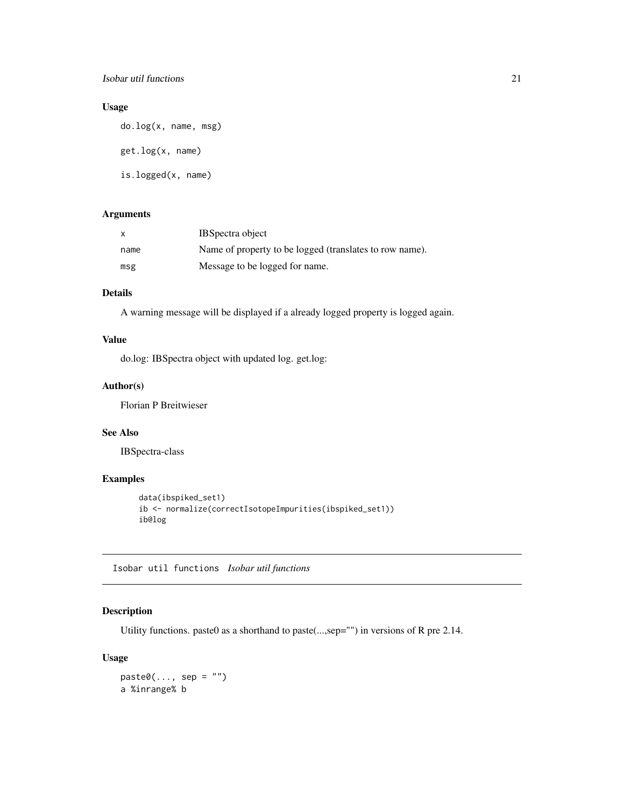## <span id="page-20-0"></span>Isobar util functions 21

## Usage

do.log(x, name, msg) get.log(x, name) is.logged(x, name)

## Arguments

| $\boldsymbol{\mathsf{x}}$ | <b>IBS</b> pectra object                                |
|---------------------------|---------------------------------------------------------|
| name                      | Name of property to be logged (translates to row name). |
| msg                       | Message to be logged for name.                          |

## Details

A warning message will be displayed if a already logged property is logged again.

## Value

do.log: IBSpectra object with updated log. get.log:

## Author(s)

Florian P Breitwieser

## See Also

IBSpectra-class

## Examples

```
data(ibspiked_set1)
ib <- normalize(correctIsotopeImpurities(ibspiked_set1))
ib@log
```
Isobar util functions *Isobar util functions*

## Description

Utility functions. paste0 as a shorthand to paste(...,sep="") in versions of R pre 2.14.

#### Usage

```
past<sup>0</sup>(..., sep = "")a %inrange% b
```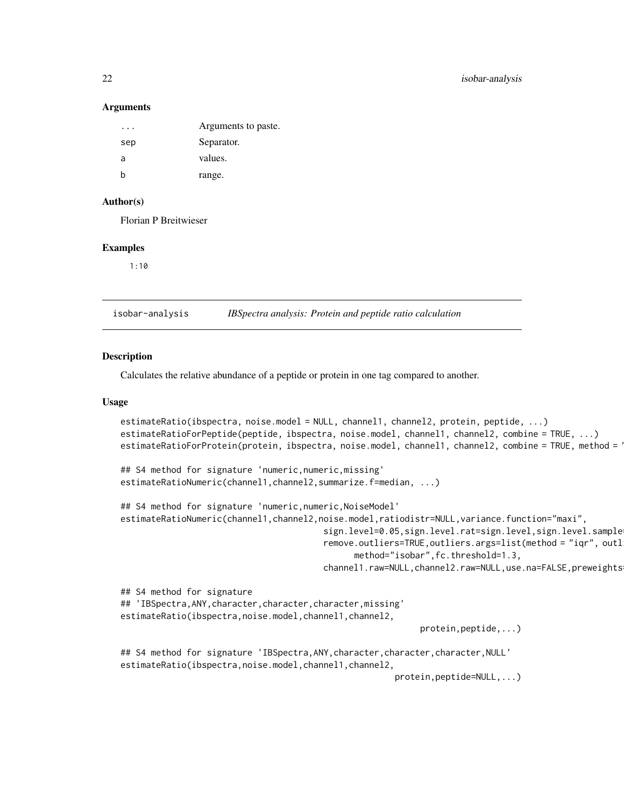#### <span id="page-21-0"></span>Arguments

| .   | Arguments to paste. |
|-----|---------------------|
| sep | Separator.          |
| a   | values.             |
| b   | range.              |

### Author(s)

Florian P Breitwieser

#### Examples

1:10

<span id="page-21-2"></span>isobar-analysis *IBSpectra analysis: Protein and peptide ratio calculation*

#### <span id="page-21-1"></span>Description

Calculates the relative abundance of a peptide or protein in one tag compared to another.

#### Usage

```
estimateRatio(ibspectra, noise.model = NULL, channel1, channel2, protein, peptide, ...)
estimateRatioForPeptide(peptide, ibspectra, noise.model, channel1, channel2, combine = TRUE, ...)
estimateRatioForProtein(protein, ibspectra, noise.model, channel1, channel2, combine = TRUE, method = P## S4 method for signature 'numeric,numeric,missing'
estimateRatioNumeric(channel1,channel2,summarize.f=median, ...)
## S4 method for signature 'numeric,numeric,NoiseModel'
estimateRatioNumeric(channel1,channel2,noise.model,ratiodistr=NULL,variance.function="maxi",
                                        sign.level=0.05,sign.level.rat=sign.level,sign.level.sample
                                        remove.outliers=TRUE, outliers.args=list(method = "iqr", outl
                                              method="isobar",fc.threshold=1.3,
                                        channel1.raw=NULL,channel2.raw=NULL,use.na=FALSE,preweights
## S4 method for signature
## 'IBSpectra,ANY,character,character,character,missing'
estimateRatio(ibspectra,noise.model,channel1,channel2,
                                                            protein,peptide,...)
## S4 method for signature 'IBSpectra,ANY,character,character,character,NULL'
estimateRatio(ibspectra,noise.model,channel1,channel2,
                                                       protein,peptide=NULL,...)
```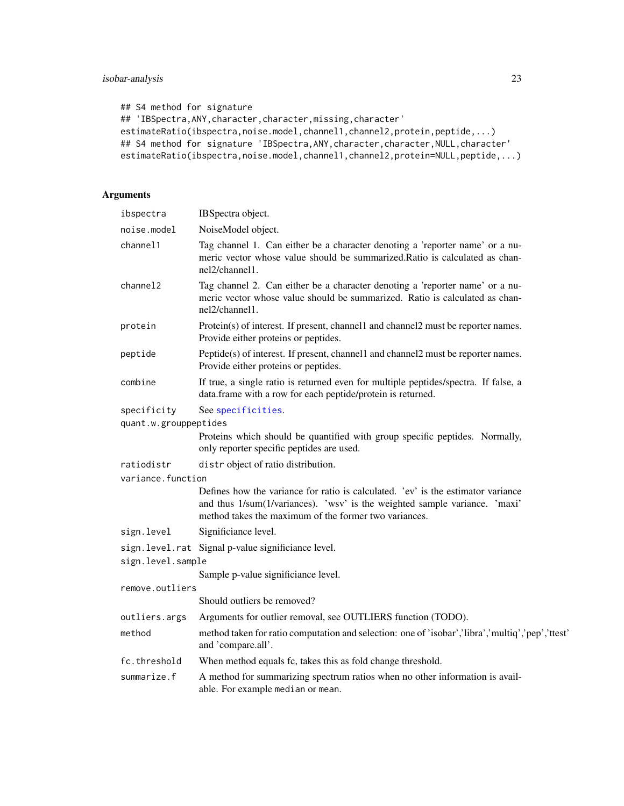```
## S4 method for signature
## 'IBSpectra, ANY, character, character, missing, character'
estimateRatio(ibspectra,noise.model,channel1,channel2,protein,peptide,...)
## S4 method for signature 'IBSpectra, ANY, character, character, NULL, character'
estimateRatio(ibspectra,noise.model,channel1,channel2,protein=NULL,peptide,...)
```
## Arguments

| ibspectra             | IBSpectra object.                                                                                                                                                                                                       |
|-----------------------|-------------------------------------------------------------------------------------------------------------------------------------------------------------------------------------------------------------------------|
| noise.model           | NoiseModel object.                                                                                                                                                                                                      |
| channel1              | Tag channel 1. Can either be a character denoting a 'reporter name' or a nu-<br>meric vector whose value should be summarized.Ratio is calculated as chan-<br>nel2/channel1.                                            |
| channel2              | Tag channel 2. Can either be a character denoting a 'reporter name' or a nu-<br>meric vector whose value should be summarized. Ratio is calculated as chan-<br>nel2/channel1.                                           |
| protein               | Protein(s) of interest. If present, channel1 and channel2 must be reporter names.<br>Provide either proteins or peptides.                                                                                               |
| peptide               | Peptide(s) of interest. If present, channell and channel2 must be reporter names.<br>Provide either proteins or peptides.                                                                                               |
| combine               | If true, a single ratio is returned even for multiple peptides/spectra. If false, a<br>data.frame with a row for each peptide/protein is returned.                                                                      |
| specificity           | See specificities.                                                                                                                                                                                                      |
| quant.w.grouppeptides |                                                                                                                                                                                                                         |
|                       | Proteins which should be quantified with group specific peptides. Normally,<br>only reporter specific peptides are used.                                                                                                |
| ratiodistr            | distr object of ratio distribution.                                                                                                                                                                                     |
| variance.function     |                                                                                                                                                                                                                         |
|                       | Defines how the variance for ratio is calculated. 'ev' is the estimator variance<br>and thus 1/sum(1/variances). 'wsv' is the weighted sample variance. 'maxi'<br>method takes the maximum of the former two variances. |
| sign.level            | Significiance level.                                                                                                                                                                                                    |
|                       | sign.level.rat Signal p-value significiance level.                                                                                                                                                                      |
| sign.level.sample     |                                                                                                                                                                                                                         |
|                       | Sample p-value significiance level.                                                                                                                                                                                     |
| remove.outliers       |                                                                                                                                                                                                                         |
|                       | Should outliers be removed?                                                                                                                                                                                             |
| outliers.args         | Arguments for outlier removal, see OUTLIERS function (TODO).                                                                                                                                                            |
| method                | method taken for ratio computation and selection: one of 'isobar','libra','multiq','pep','ttest'<br>and 'compare.all'.                                                                                                  |
| fc.threshold          | When method equals fc, takes this as fold change threshold.                                                                                                                                                             |
| summarize.f           | A method for summarizing spectrum ratios when no other information is avail-<br>able. For example median or mean.                                                                                                       |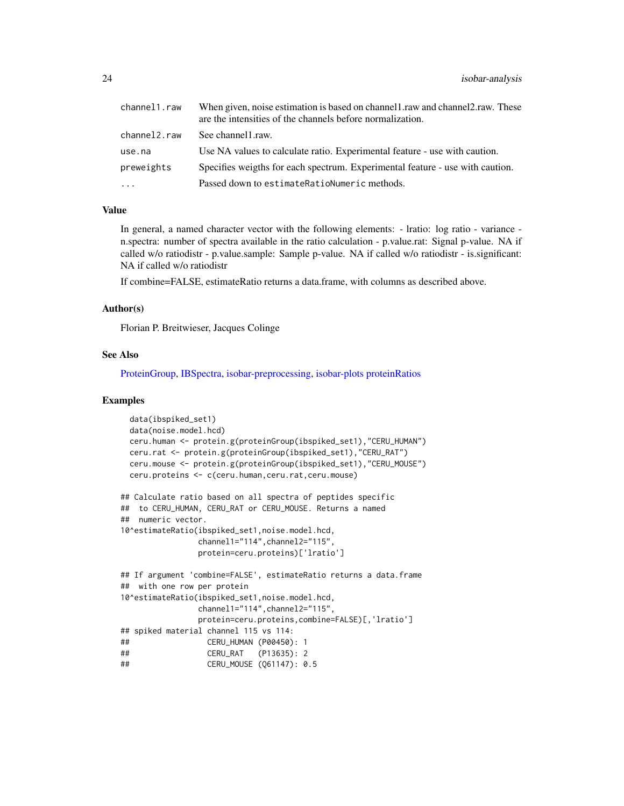<span id="page-23-0"></span>

| channel1.raw | When given, noise estimation is based on channel1.raw and channel2.raw. These<br>are the intensities of the channels before normalization. |
|--------------|--------------------------------------------------------------------------------------------------------------------------------------------|
| channel2.raw | See channel 1. raw.                                                                                                                        |
| use.na       | Use NA values to calculate ratio. Experimental feature - use with caution.                                                                 |
| preweights   | Specifies weigths for each spectrum. Experimental feature - use with caution.                                                              |
| .            | Passed down to estimate Ration Numeric methods.                                                                                            |

#### Value

In general, a named character vector with the following elements: - lratio: log ratio - variance n.spectra: number of spectra available in the ratio calculation - p.value.rat: Signal p-value. NA if called w/o ratiodistr - p.value.sample: Sample p-value. NA if called w/o ratiodistr - is.significant: NA if called w/o ratiodistr

If combine=FALSE, estimateRatio returns a data.frame, with columns as described above.

#### Author(s)

Florian P. Breitwieser, Jacques Colinge

#### See Also

[ProteinGroup,](#page-39-1) [IBSpectra,](#page-17-1) [isobar-preprocessing,](#page-27-2) [isobar-plots](#page-26-1) [proteinRatios](#page-36-1)

```
data(ibspiked_set1)
 data(noise.model.hcd)
 ceru.human <- protein.g(proteinGroup(ibspiked_set1),"CERU_HUMAN")
 ceru.rat <- protein.g(proteinGroup(ibspiked_set1),"CERU_RAT")
 ceru.mouse <- protein.g(proteinGroup(ibspiked_set1),"CERU_MOUSE")
 ceru.proteins <- c(ceru.human,ceru.rat,ceru.mouse)
## Calculate ratio based on all spectra of peptides specific
## to CERU_HUMAN, CERU_RAT or CERU_MOUSE. Returns a named
## numeric vector.
10^estimateRatio(ibspiked_set1,noise.model.hcd,
                channel1="114", channel2="115"
                protein=ceru.proteins)['lratio']
## If argument 'combine=FALSE', estimateRatio returns a data.frame
## with one row per protein
10^estimateRatio(ibspiked_set1,noise.model.hcd,
                channel1="114",channel2="115",
                protein=ceru.proteins,combine=FALSE)[,'lratio']
## spiked material channel 115 vs 114:
## CERU_HUMAN (P00450): 1
## CERU_RAT (P13635): 2
## CERU_MOUSE (Q61147): 0.5
```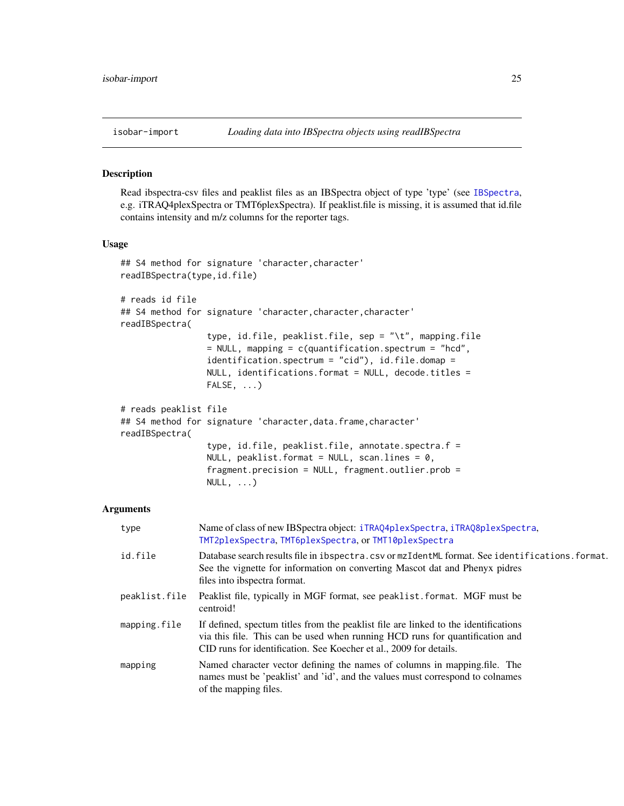<span id="page-24-1"></span><span id="page-24-0"></span>

Read ibspectra-csv files and peaklist files as an IBSpectra object of type 'type' (see [IBSpectra](#page-17-1), e.g. iTRAQ4plexSpectra or TMT6plexSpectra). If peaklist.file is missing, it is assumed that id.file contains intensity and m/z columns for the reporter tags.

#### Usage

```
## S4 method for signature 'character,character'
readIBSpectra(type,id.file)
# reads id file
## S4 method for signature 'character,character,character'
readIBSpectra(
                 type, id.file, peaklist.file, sep = "\t", mapping.file
                 = NULL, mapping = c(quantification.spectrum = "hcd",
                 identification.spectrum = "cid"), id.file.domap =
                 NULL, identifications.format = NULL, decode.titles =
                 FALSE, ...)
# reads peaklist file
## S4 method for signature 'character, data.frame, character'
readIBSpectra(
                 type, id.file, peaklist.file, annotate.spectra.f =
                 NULL, peaklist.format = NULL, scan.lines = 0,
                 fragment.precision = NULL, fragment.outlier.prob =
                 NULL, \ldots)
```
## Arguments

| type          | Name of class of new IBSpectra object: iTRAQ4p1exSpectra, iTRAQ8p1exSpectra,<br>TMT2plexSpectra, TMT6plexSpectra, or TMT10plexSpectra                                                                                                     |
|---------------|-------------------------------------------------------------------------------------------------------------------------------------------------------------------------------------------------------------------------------------------|
| id.file       | Database search results file in ibspectra.csv or mzIdentML format. See identifications.format.<br>See the vignette for information on converting Mascot dat and Phenyx pidres<br>files into ibspectra format.                             |
| peaklist.file | Peaklist file, typically in MGF format, see peaklist. format. MGF must be<br>centroid!                                                                                                                                                    |
| mapping.file  | If defined, spectum titles from the peaklist file are linked to the identifications<br>via this file. This can be used when running HCD runs for quantification and<br>CID runs for identification. See Koecher et al., 2009 for details. |
| mapping       | Named character vector defining the names of columns in mapping. file. The<br>names must be 'peaklist' and 'id', and the values must correspond to colnames<br>of the mapping files.                                                      |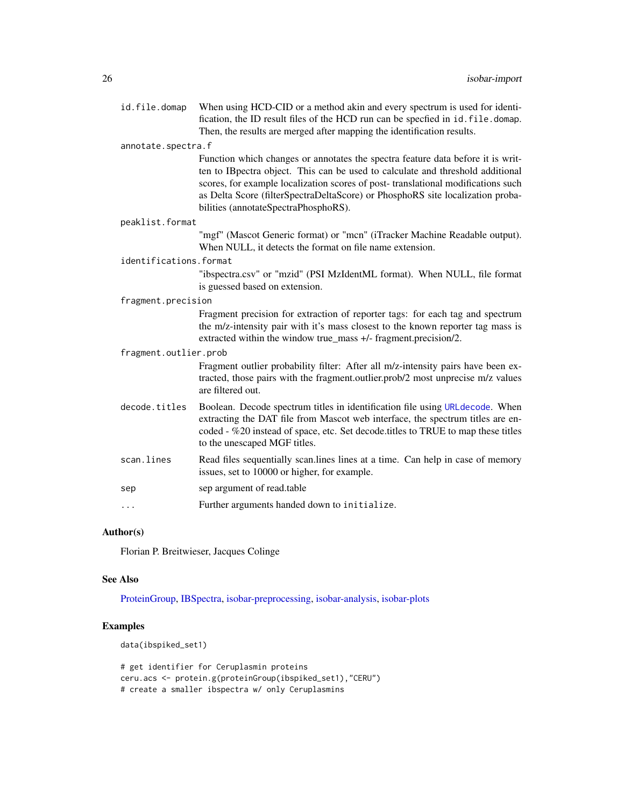<span id="page-25-0"></span>id. file. domap When using HCD-CID or a method akin and every spectrum is used for identification, the ID result files of the HCD run can be specfied in id.file.domap. Then, the results are merged after mapping the identification results.

#### annotate.spectra.f

Function which changes or annotates the spectra feature data before it is written to IBpectra object. This can be used to calculate and threshold additional scores, for example localization scores of post- translational modifications such as Delta Score (filterSpectraDeltaScore) or PhosphoRS site localization probabilities (annotateSpectraPhosphoRS).

#### peaklist.format

"mgf" (Mascot Generic format) or "mcn" (iTracker Machine Readable output). When NULL, it detects the format on file name extension.

#### identifications.format

"ibspectra.csv" or "mzid" (PSI MzIdentML format). When NULL, file format is guessed based on extension.

#### fragment.precision

Fragment precision for extraction of reporter tags: for each tag and spectrum the m/z-intensity pair with it's mass closest to the known reporter tag mass is extracted within the window true\_mass +/- fragment.precision/2.

## fragment.outlier.prob

Fragment outlier probability filter: After all m/z-intensity pairs have been extracted, those pairs with the fragment.outlier.prob/2 most unprecise m/z values are filtered out.

- decode.titles Boolean. Decode spectrum titles in identification file using [URLdecode](#page-0-0). When extracting the DAT file from Mascot web interface, the spectrum titles are encoded - %20 instead of space, etc. Set decode.titles to TRUE to map these titles to the unescaped MGF titles.
- scan. lines Read files sequentially scan. lines lines at a time. Can help in case of memory issues, set to 10000 or higher, for example.
- sep sep argument of read.table
- ... Further arguments handed down to initialize.

#### Author(s)

Florian P. Breitwieser, Jacques Colinge

#### See Also

[ProteinGroup,](#page-39-1) [IBSpectra,](#page-17-1) [isobar-preprocessing,](#page-27-2) [isobar-analysis,](#page-21-2) [isobar-plots](#page-26-1)

## Examples

data(ibspiked\_set1)

# get identifier for Ceruplasmin proteins ceru.acs <- protein.g(proteinGroup(ibspiked\_set1),"CERU") # create a smaller ibspectra w/ only Ceruplasmins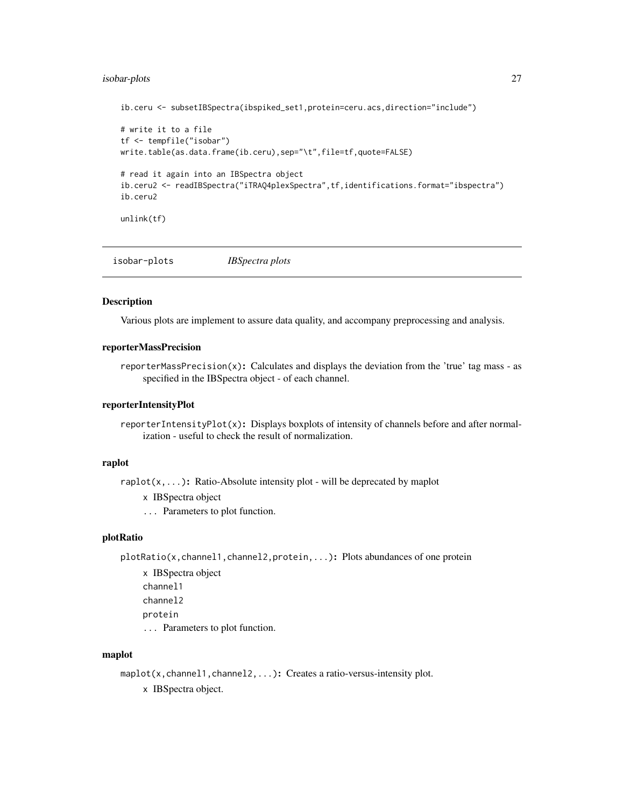## <span id="page-26-0"></span>isobar-plots 27

```
ib.ceru <- subsetIBSpectra(ibspiked_set1,protein=ceru.acs,direction="include")
# write it to a file
tf <- tempfile("isobar")
write.table(as.data.frame(ib.ceru),sep="\t",file=tf,quote=FALSE)
# read it again into an IBSpectra object
ib.ceru2 <- readIBSpectra("iTRAQ4plexSpectra",tf,identifications.format="ibspectra")
ib.ceru2
unlink(tf)
```
<span id="page-26-1"></span>isobar-plots *IBSpectra plots*

#### **Description**

Various plots are implement to assure data quality, and accompany preprocessing and analysis.

#### reporterMassPrecision

reporterMassPrecision(x): Calculates and displays the deviation from the 'true' tag mass - as specified in the IBSpectra object - of each channel.

#### reporterIntensityPlot

reporterIntensityPlot(x): Displays boxplots of intensity of channels before and after normalization - useful to check the result of normalization.

#### raplot

raplot( $x$ ,...): Ratio-Absolute intensity plot - will be deprecated by maplot

```
x IBSpectra object
```
... Parameters to plot function.

## plotRatio

plotRatio(x, channel1, channel2, protein, ...): Plots abundances of one protein

x IBSpectra object channel1 channel2 protein ... Parameters to plot function.

### maplot

maplot(x, channel1, channel2, ...): Creates a ratio-versus-intensity plot. x IBSpectra object.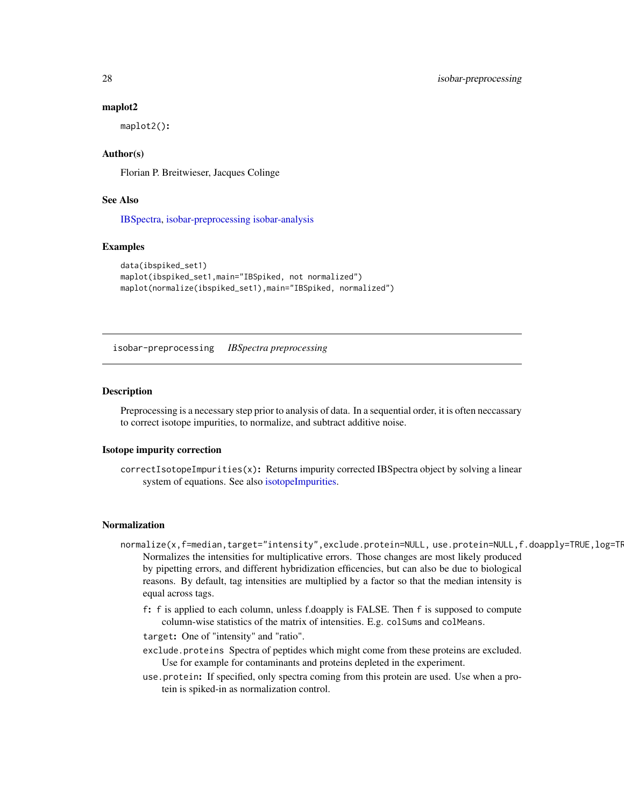#### maplot2

maplot2():

## Author(s)

Florian P. Breitwieser, Jacques Colinge

## See Also

[IBSpectra,](#page-17-1) [isobar-preprocessing](#page-27-2) [isobar-analysis](#page-21-2)

#### Examples

```
data(ibspiked_set1)
maplot(ibspiked_set1,main="IBSpiked, not normalized")
maplot(normalize(ibspiked_set1),main="IBSpiked, normalized")
```
<span id="page-27-2"></span>isobar-preprocessing *IBSpectra preprocessing*

#### <span id="page-27-1"></span>**Description**

Preprocessing is a necessary step prior to analysis of data. In a sequential order, it is often neccassary to correct isotope impurities, to normalize, and subtract additive noise.

#### Isotope impurity correction

correctIsotopeImpurities(x): Returns impurity corrected IBSpectra object by solving a linear system of equations. See also [isotopeImpurities.](#page-17-1)

#### Normalization

- normalize(x,f=median,target="intensity",exclude.protein=NULL,use.protein=NULL,f.doapply=TRUE,log=TR Normalizes the intensities for multiplicative errors. Those changes are most likely produced by pipetting errors, and different hybridization efficencies, but can also be due to biological reasons. By default, tag intensities are multiplied by a factor so that the median intensity is equal across tags.
	- f: f is applied to each column, unless f.doapply is FALSE. Then f is supposed to compute column-wise statistics of the matrix of intensities. E.g. colSums and colMeans.
	- target: One of "intensity" and "ratio".
	- exclude.proteins Spectra of peptides which might come from these proteins are excluded. Use for example for contaminants and proteins depleted in the experiment.
	- use.protein: If specified, only spectra coming from this protein are used. Use when a protein is spiked-in as normalization control.

<span id="page-27-0"></span>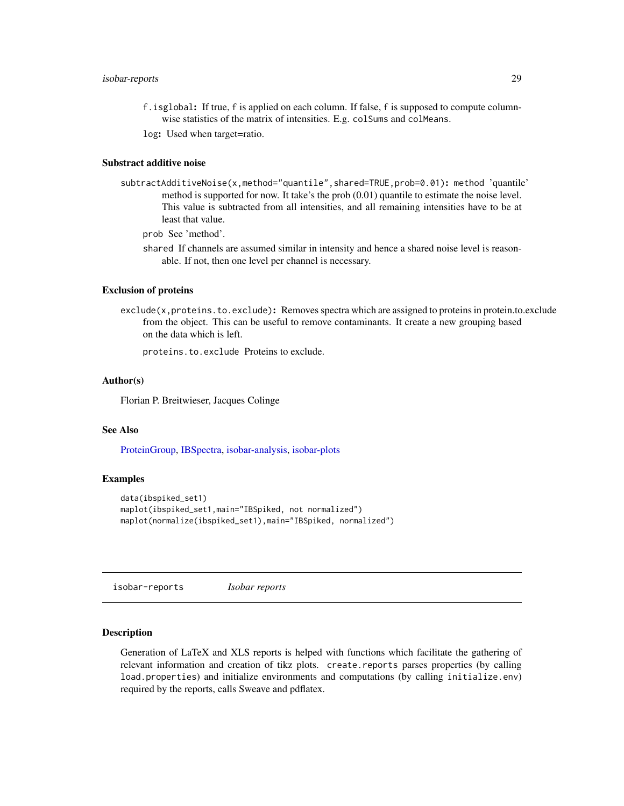## <span id="page-28-0"></span>isobar-reports 29

- f.isglobal: If true, f is applied on each column. If false, f is supposed to compute columnwise statistics of the matrix of intensities. E.g. colSums and colMeans.
- log: Used when target=ratio.

## Substract additive noise

subtractAdditiveNoise(x,method="quantile",shared=TRUE,prob=0.01): method 'quantile' method is supported for now. It take's the prob (0.01) quantile to estimate the noise level. This value is subtracted from all intensities, and all remaining intensities have to be at least that value.

prob See 'method'.

shared If channels are assumed similar in intensity and hence a shared noise level is reasonable. If not, then one level per channel is necessary.

## Exclusion of proteins

exclude(x,proteins.to.exclude): Removes spectra which are assigned to proteins in protein.to.exclude from the object. This can be useful to remove contaminants. It create a new grouping based on the data which is left.

proteins.to.exclude Proteins to exclude.

#### Author(s)

Florian P. Breitwieser, Jacques Colinge

## See Also

[ProteinGroup,](#page-39-1) [IBSpectra,](#page-17-1) [isobar-analysis,](#page-21-2) [isobar-plots](#page-26-1)

#### Examples

```
data(ibspiked_set1)
maplot(ibspiked_set1,main="IBSpiked, not normalized")
maplot(normalize(ibspiked_set1),main="IBSpiked, normalized")
```
isobar-reports *Isobar reports*

## <span id="page-28-1"></span>**Description**

Generation of LaTeX and XLS reports is helped with functions which facilitate the gathering of relevant information and creation of tikz plots. create.reports parses properties (by calling load.properties) and initialize environments and computations (by calling initialize.env) required by the reports, calls Sweave and pdflatex.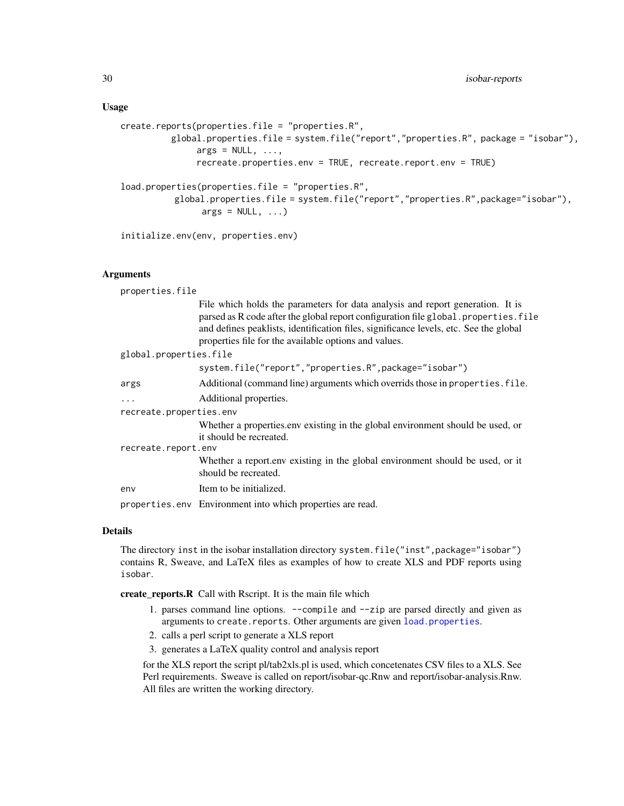#### <span id="page-29-0"></span>Usage

```
create.reports(properties.file = "properties.R",
          global.properties.file = system.file("report","properties.R", package = "isobar"),
               args = NULL, ...,recreate.properties.env = TRUE, recreate.report.env = TRUE)
load.properties(properties.file = "properties.R",
          global.properties.file = system.file("report","properties.R",package="isobar"),
                args = NULL, ...)
```
initialize.env(env, properties.env)

## Arguments

| properties.file                                                                                                                                                                                                                                                                                                         |  |  |
|-------------------------------------------------------------------------------------------------------------------------------------------------------------------------------------------------------------------------------------------------------------------------------------------------------------------------|--|--|
| File which holds the parameters for data analysis and report generation. It is<br>parsed as R code after the global report configuration file global properties. file<br>and defines peaklists, identification files, significance levels, etc. See the global<br>properties file for the available options and values. |  |  |
| global.properties.file                                                                                                                                                                                                                                                                                                  |  |  |
| system.file("report","properties.R",package="isobar")                                                                                                                                                                                                                                                                   |  |  |
| Additional (command line) arguments which overrids those in properties. file.                                                                                                                                                                                                                                           |  |  |
| Additional properties.                                                                                                                                                                                                                                                                                                  |  |  |
| recreate.properties.env                                                                                                                                                                                                                                                                                                 |  |  |
| Whether a properties env existing in the global environment should be used, or<br>it should be recreated.                                                                                                                                                                                                               |  |  |
| recreate.report.env                                                                                                                                                                                                                                                                                                     |  |  |
| Whether a report.env existing in the global environment should be used, or it<br>should be recreated.                                                                                                                                                                                                                   |  |  |
| Item to be initialized.                                                                                                                                                                                                                                                                                                 |  |  |
| properties.env Environment into which properties are read.                                                                                                                                                                                                                                                              |  |  |
|                                                                                                                                                                                                                                                                                                                         |  |  |

#### Details

The directory inst in the isobar installation directory system. file("inst", package="isobar") contains R, Sweave, and LaTeX files as examples of how to create XLS and PDF reports using isobar.

create\_reports.R Call with Rscript. It is the main file which

- 1. parses command line options. --compile and --zip are parsed directly and given as arguments to create.reports. Other arguments are given [load.properties](#page-28-1).
- 2. calls a perl script to generate a XLS report
- 3. generates a LaTeX quality control and analysis report

for the XLS report the script pl/tab2xls.pl is used, which concetenates CSV files to a XLS. See Perl requirements. Sweave is called on report/isobar-qc.Rnw and report/isobar-analysis.Rnw. All files are written the working directory.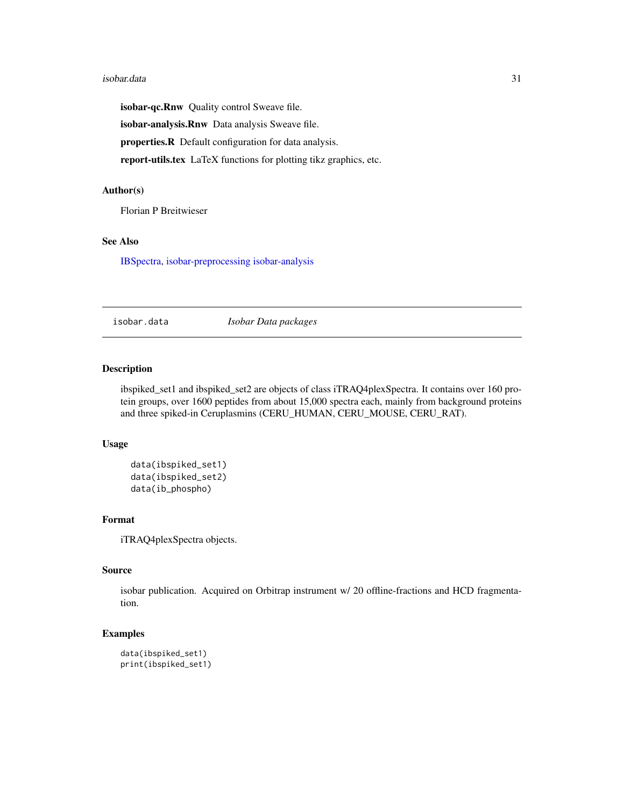#### <span id="page-30-0"></span>isobar.data 31

isobar-qc.Rnw Quality control Sweave file.

isobar-analysis.Rnw Data analysis Sweave file.

properties.R Default configuration for data analysis.

report-utils.tex LaTeX functions for plotting tikz graphics, etc.

## Author(s)

Florian P Breitwieser

## See Also

[IBSpectra,](#page-17-1) [isobar-preprocessing](#page-27-2) [isobar-analysis](#page-21-2)

isobar.data *Isobar Data packages*

## Description

ibspiked\_set1 and ibspiked\_set2 are objects of class iTRAQ4plexSpectra. It contains over 160 protein groups, over 1600 peptides from about 15,000 spectra each, mainly from background proteins and three spiked-in Ceruplasmins (CERU\_HUMAN, CERU\_MOUSE, CERU\_RAT).

## Usage

```
data(ibspiked_set1)
data(ibspiked_set2)
data(ib_phospho)
```
## Format

iTRAQ4plexSpectra objects.

## Source

isobar publication. Acquired on Orbitrap instrument w/ 20 offline-fractions and HCD fragmentation.

```
data(ibspiked_set1)
print(ibspiked_set1)
```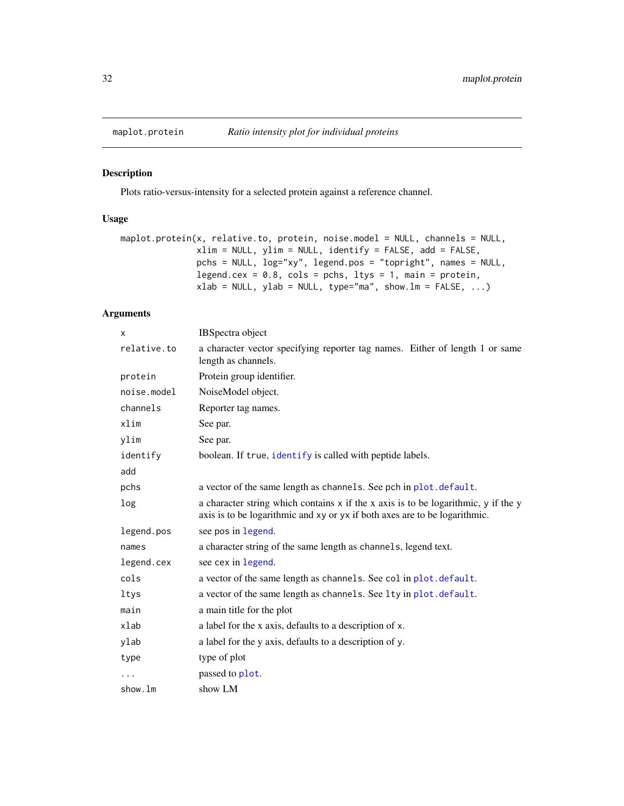<span id="page-31-0"></span>

Plots ratio-versus-intensity for a selected protein against a reference channel.

## Usage

```
maplot.protein(x, relative.to, protein, noise.model = NULL, channels = NULL,
               xlim = NULL, ylim = NULL, identify = FALSE, add = FALSE,
               pchs = NULL, log="xy", legend.pos = "topright", names = NULL,
               legend.cex = 0.8, cols = pchs, ltys = 1, main = protein,
               xlab = NULL, ylab = NULL, type="ma", show.lm = FALSE, ...)
```
## Arguments

| <b>IBSpectra</b> object                                                                                                                                          |
|------------------------------------------------------------------------------------------------------------------------------------------------------------------|
| a character vector specifying reporter tag names. Either of length 1 or same<br>length as channels.                                                              |
| Protein group identifier.                                                                                                                                        |
| NoiseModel object.                                                                                                                                               |
| Reporter tag names.                                                                                                                                              |
| See par.                                                                                                                                                         |
| See par.                                                                                                                                                         |
| boolean. If true, identify is called with peptide labels.                                                                                                        |
|                                                                                                                                                                  |
| a vector of the same length as channels. See pch in plot. default.                                                                                               |
| a character string which contains x if the x axis is to be logarithmic, y if the y<br>axis is to be logarithmic and xy or yx if both axes are to be logarithmic. |
| see pos in legend.                                                                                                                                               |
| a character string of the same length as channels, legend text.                                                                                                  |
| see cex in legend.                                                                                                                                               |
| a vector of the same length as channels. See col in plot. default.                                                                                               |
| a vector of the same length as channels. See lty in plot. default.                                                                                               |
| a main title for the plot                                                                                                                                        |
| a label for the x axis, defaults to a description of x.                                                                                                          |
| a label for the y axis, defaults to a description of y.                                                                                                          |
| type of plot                                                                                                                                                     |
| passed to plot.                                                                                                                                                  |
| show LM                                                                                                                                                          |
|                                                                                                                                                                  |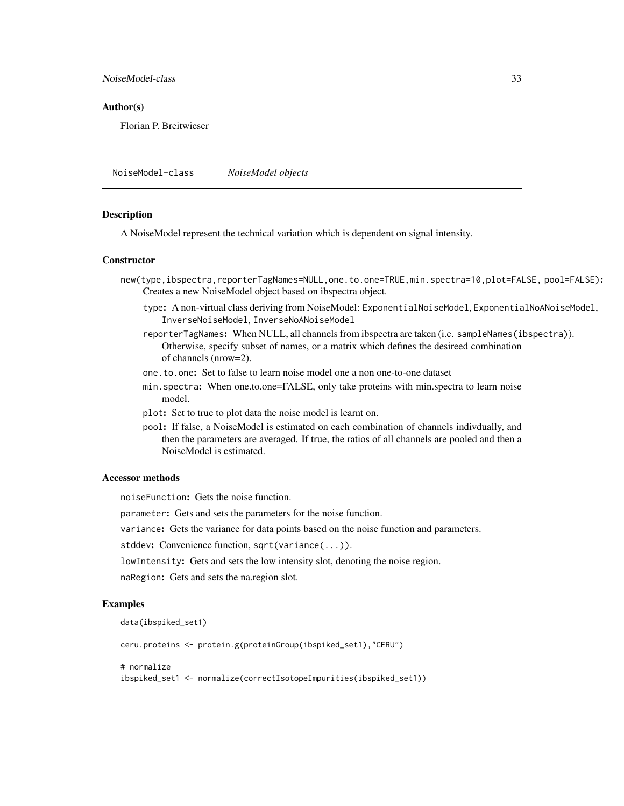<span id="page-32-0"></span>NoiseModel-class 33

#### Author(s)

Florian P. Breitwieser

NoiseModel-class *NoiseModel objects*

#### **Description**

A NoiseModel represent the technical variation which is dependent on signal intensity.

#### **Constructor**

- new(type,ibspectra,reporterTagNames=NULL,one.to.one=TRUE,min.spectra=10,plot=FALSE, pool=FALSE): Creates a new NoiseModel object based on ibspectra object.
	- type: A non-virtual class deriving from NoiseModel: ExponentialNoiseModel, ExponentialNoANoiseModel, InverseNoiseModel, InverseNoANoiseModel
	- reporterTagNames: When NULL, all channels from ibspectra are taken (i.e. sampleNames(ibspectra)). Otherwise, specify subset of names, or a matrix which defines the desireed combination of channels (nrow=2).
	- one.to.one: Set to false to learn noise model one a non one-to-one dataset
	- min.spectra: When one.to.one=FALSE, only take proteins with min.spectra to learn noise model.
	- plot: Set to true to plot data the noise model is learnt on.
	- pool: If false, a NoiseModel is estimated on each combination of channels indivdually, and then the parameters are averaged. If true, the ratios of all channels are pooled and then a NoiseModel is estimated.

#### Accessor methods

noiseFunction: Gets the noise function.

parameter: Gets and sets the parameters for the noise function.

variance: Gets the variance for data points based on the noise function and parameters.

stddev: Convenience function, sqrt(variance(...)).

lowIntensity: Gets and sets the low intensity slot, denoting the noise region.

naRegion: Gets and sets the na.region slot.

#### Examples

```
data(ibspiked_set1)
```
ceru.proteins <- protein.g(proteinGroup(ibspiked\_set1),"CERU")

# normalize

ibspiked\_set1 <- normalize(correctIsotopeImpurities(ibspiked\_set1))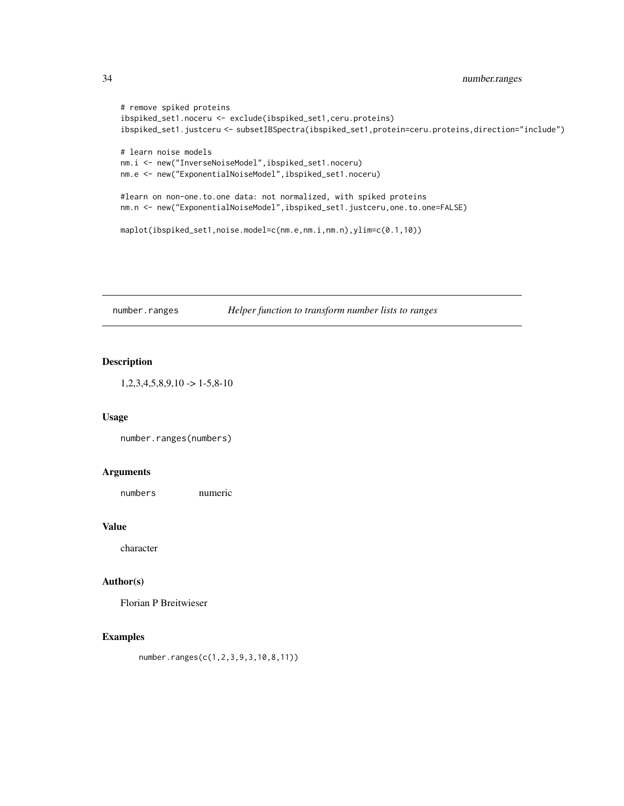```
# remove spiked proteins
ibspiked_set1.noceru <- exclude(ibspiked_set1,ceru.proteins)
ibspiked_set1.justceru <- subsetIBSpectra(ibspiked_set1,protein=ceru.proteins,direction="include")
# learn noise models
nm.i <- new("InverseNoiseModel",ibspiked_set1.noceru)
nm.e <- new("ExponentialNoiseModel",ibspiked_set1.noceru)
#learn on non-one.to.one data: not normalized, with spiked proteins
nm.n <- new("ExponentialNoiseModel",ibspiked_set1.justceru,one.to.one=FALSE)
maplot(ibspiked_set1,noise.model=c(nm.e,nm.i,nm.n),ylim=c(0.1,10))
```
number.ranges *Helper function to transform number lists to ranges*

#### Description

 $1,2,3,4,5,8,9,10 \rightarrow 1-5,8-10$ 

### Usage

number.ranges(numbers)

#### Arguments

numbers numeric

#### Value

character

## Author(s)

Florian P Breitwieser

## Examples

number.ranges(c(1,2,3,9,3,10,8,11))

<span id="page-33-0"></span>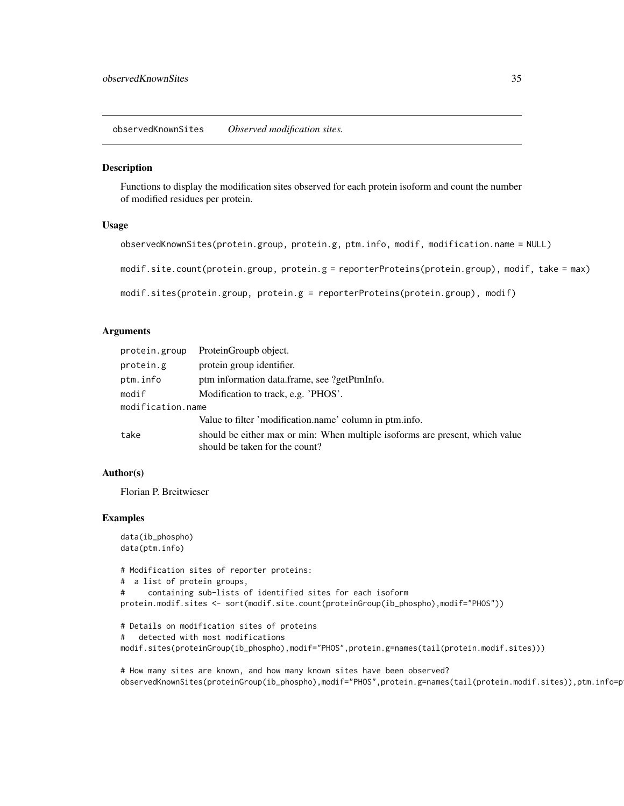<span id="page-34-0"></span>observedKnownSites *Observed modification sites.*

### Description

Functions to display the modification sites observed for each protein isoform and count the number of modified residues per protein.

#### Usage

```
observedKnownSites(protein.group, protein.g, ptm.info, modif, modification.name = NULL)
```
modif.site.count(protein.group, protein.g = reporterProteins(protein.group), modif, take = max)

```
modif.sites(protein.group, protein.g = reporterProteins(protein.group), modif)
```
#### Arguments

| protein.group     | ProteinGroupb object.                                                                                          |
|-------------------|----------------------------------------------------------------------------------------------------------------|
| protein.g         | protein group identifier.                                                                                      |
| ptm.info          | ptm information data.frame, see ?getPtmInfo.                                                                   |
| modif             | Modification to track, e.g. 'PHOS'.                                                                            |
| modification.name |                                                                                                                |
|                   | Value to filter 'modification.name' column in ptm.info.                                                        |
| take              | should be either max or min: When multiple isoforms are present, which value<br>should be taken for the count? |

## Author(s)

Florian P. Breitwieser

```
data(ib_phospho)
data(ptm.info)
# Modification sites of reporter proteins:
# a list of protein groups,
# containing sub-lists of identified sites for each isoform
protein.modif.sites <- sort(modif.site.count(proteinGroup(ib_phospho),modif="PHOS"))
# Details on modification sites of proteins
# detected with most modifications
modif.sites(proteinGroup(ib_phospho),modif="PHOS",protein.g=names(tail(protein.modif.sites)))
```

```
# How many sites are known, and how many known sites have been observed?
observedKnownSites(proteinGroup(ib_phospho),modif="PHOS",protein.g=names(tail(protein.modif.sites)),ptm.info=p
```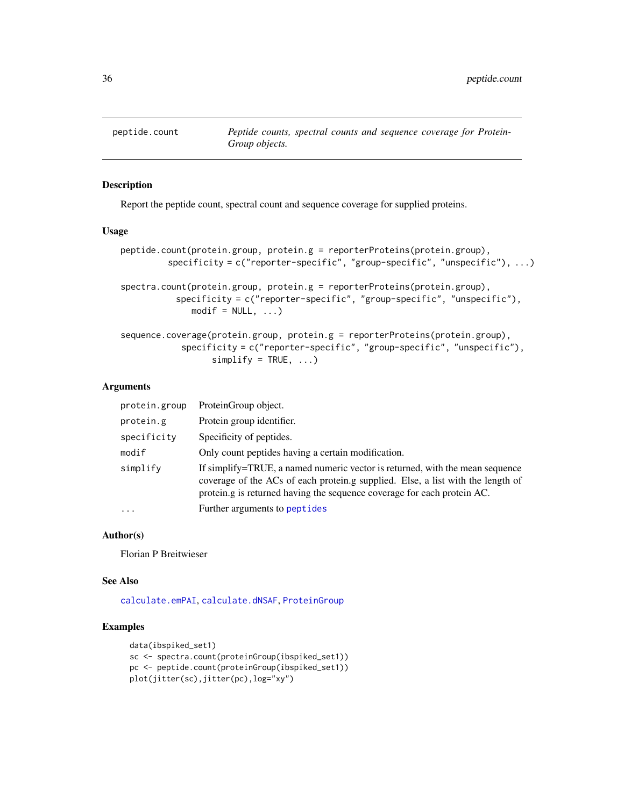<span id="page-35-1"></span><span id="page-35-0"></span>

Report the peptide count, spectral count and sequence coverage for supplied proteins.

#### Usage

```
peptide.count(protein.group, protein.g = reporterProteins(protein.group),
         specificity = c("reporter-specific", "group-specific", "unspecific"), ...)
spectra.count(protein.group, protein.g = reporterProteins(protein.group),
           specificity = c("reporter-specific", "group-specific", "unspecific"),
              modelf = NULL, ...)sequence.coverage(protein.group, protein.g = reporterProteins(protein.group),
```

```
specificity = c("reporter-specific", "group-specific", "unspecific"),
      simality = TRUE, ...
```
#### **Arguments**

| protein.group | ProteinGroup object.                                                                                                                                                                                                                       |
|---------------|--------------------------------------------------------------------------------------------------------------------------------------------------------------------------------------------------------------------------------------------|
| protein.g     | Protein group identifier.                                                                                                                                                                                                                  |
| specificity   | Specificity of peptides.                                                                                                                                                                                                                   |
| modif         | Only count peptides having a certain modification.                                                                                                                                                                                         |
| simplify      | If simplify=TRUE, a named numeric vector is returned, with the mean sequence<br>coverage of the ACs of each protein.g supplied. Else, a list with the length of<br>protein.g is returned having the sequence coverage for each protein AC. |
| $\cdots$      | Further arguments to peptides                                                                                                                                                                                                              |

#### Author(s)

Florian P Breitwieser

## See Also

[calculate.emPAI](#page-7-1), [calculate.dNSAF](#page-6-1), [ProteinGroup](#page-39-1)

```
data(ibspiked_set1)
sc <- spectra.count(proteinGroup(ibspiked_set1))
pc <- peptide.count(proteinGroup(ibspiked_set1))
plot(jitter(sc),jitter(pc),log="xy")
```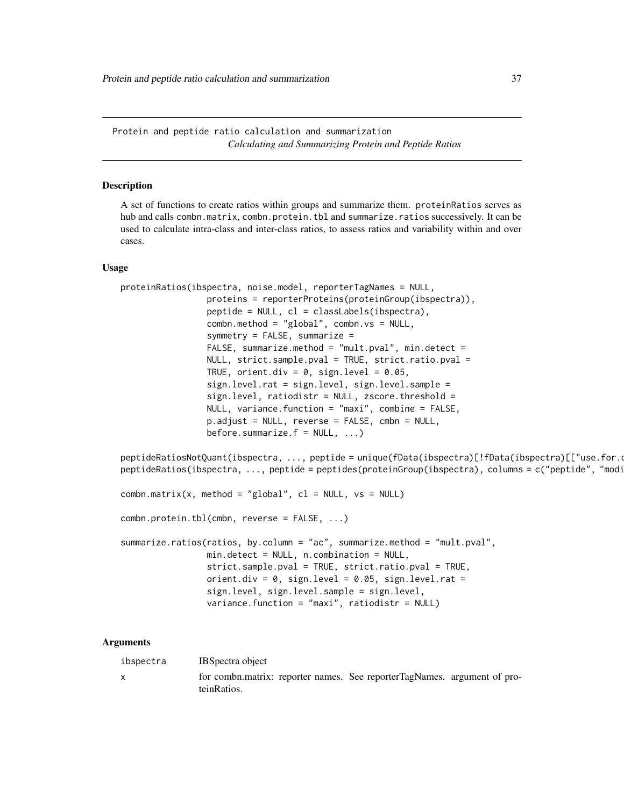<span id="page-36-0"></span>Protein and peptide ratio calculation and summarization *Calculating and Summarizing Protein and Peptide Ratios*

### <span id="page-36-1"></span>Description

A set of functions to create ratios within groups and summarize them. proteinRatios serves as hub and calls combn.matrix, combn.protein.tbl and summarize.ratios successively. It can be used to calculate intra-class and inter-class ratios, to assess ratios and variability within and over cases.

#### Usage

```
proteinRatios(ibspectra, noise.model, reporterTagNames = NULL,
                 proteins = reporterProteins(proteinGroup(ibspectra)),
                 peptide = NULL, cl = classLabels(ibspectra),
                 combn.method = "global", combn.vs = NULL,
                 symmetry = FALSE, summarize =
                 FALSE, summarize.method = "mult.pval", min.detect =
                 NULL, strict.sample.pval = TRUE, strict.ratio.pval =
                 TRUE, orient.div = 0, sign.level = 0.05,
                 sign.level.rat = sign.level, sign.level.sample =
                 sign.level, ratiodistr = NULL, zscore.threshold =
                 NULL, variance.function = "maxi", combine = FALSE,
                 p.adjust = NULL, reverse = FALSE, cmbn = NULL,
                 before.summarize.f = NULL, ...)
```
peptideRatiosNotQuant(ibspectra, ..., peptide = unique(fData(ibspectra)[!fData(ibspectra)[["use.for.o peptideRatios(ibspectra, ..., peptide = peptides(proteinGroup(ibspectra), columns = c("peptide", "modi

```
combn.matrix(x, method = "global", cl = NULL, vs = NULL)
```
combn.protein.tbl(cmbn, reverse = FALSE, ...)

```
summarize.ratios(ratios, by.column = "ac", summarize.method = "mult.pval",
                min.detect = NULL, n.combination = NULL,
                 strict.sample.pval = TRUE, strict.ratio.pval = TRUE,
                orient.div = 0, sign.level = 0.05, sign.level.rat =
                 sign.level, sign.level.sample = sign.level,
                variance.function = "maxi", ratiodistr = NULL)
```
#### Arguments

|  | ibspectra | <b>IBS</b> bectra object                                                                |
|--|-----------|-----------------------------------------------------------------------------------------|
|  |           | for combn.matrix: reporter names. See reporterTagNames. argument of pro-<br>teinRatios. |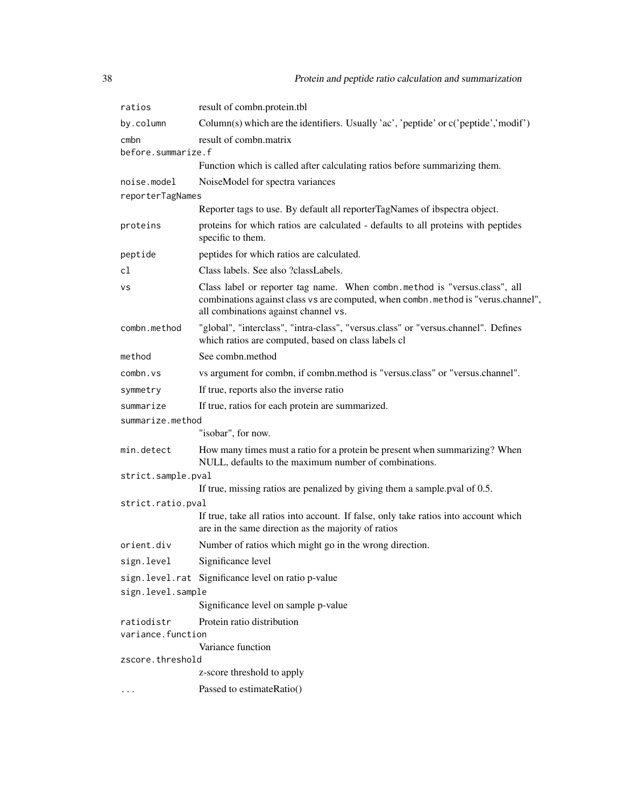| result of combn.protein.tbl                                                                                                                                                                             |  |
|---------------------------------------------------------------------------------------------------------------------------------------------------------------------------------------------------------|--|
| Column(s) which are the identifiers. Usually 'ac', 'peptide' or c('peptide','modif')                                                                                                                    |  |
| result of combn.matrix                                                                                                                                                                                  |  |
| before.summarize.f                                                                                                                                                                                      |  |
| Function which is called after calculating ratios before summarizing them.                                                                                                                              |  |
| NoiseModel for spectra variances<br>reporterTagNames                                                                                                                                                    |  |
| Reporter tags to use. By default all reporterTagNames of ibspectra object.                                                                                                                              |  |
| proteins for which ratios are calculated - defaults to all proteins with peptides<br>specific to them.                                                                                                  |  |
| peptides for which ratios are calculated.                                                                                                                                                               |  |
| Class labels. See also ?classLabels.                                                                                                                                                                    |  |
| Class label or reporter tag name. When combn.method is "versus.class", all<br>combinations against class vs are computed, when combn.method is "verus.channel",<br>all combinations against channel vs. |  |
| "global", "interclass", "intra-class", "versus.class" or "versus.channel". Defines<br>which ratios are computed, based on class labels cl                                                               |  |
| See combn.method                                                                                                                                                                                        |  |
| vs argument for combn, if combn.method is "versus.class" or "versus.channel".                                                                                                                           |  |
| If true, reports also the inverse ratio                                                                                                                                                                 |  |
| If true, ratios for each protein are summarized.                                                                                                                                                        |  |
| summarize.method                                                                                                                                                                                        |  |
| "isobar", for now.                                                                                                                                                                                      |  |
| How many times must a ratio for a protein be present when summarizing? When<br>NULL, defaults to the maximum number of combinations.                                                                    |  |
| strict.sample.pval                                                                                                                                                                                      |  |
| If true, missing ratios are penalized by giving them a sample pval of 0.5.                                                                                                                              |  |
| strict.ratio.pval                                                                                                                                                                                       |  |
| If true, take all ratios into account. If false, only take ratios into account which<br>are in the same direction as the majority of ratios                                                             |  |
| Number of ratios which might go in the wrong direction.                                                                                                                                                 |  |
| Significance level                                                                                                                                                                                      |  |
| sign. level.rat Significance level on ratio p-value                                                                                                                                                     |  |
| sign.level.sample                                                                                                                                                                                       |  |
| Significance level on sample p-value                                                                                                                                                                    |  |
| Protein ratio distribution                                                                                                                                                                              |  |
| variance.function<br>Variance function                                                                                                                                                                  |  |
| zscore.threshold                                                                                                                                                                                        |  |
| z-score threshold to apply                                                                                                                                                                              |  |
| Passed to estimateRatio()                                                                                                                                                                               |  |
|                                                                                                                                                                                                         |  |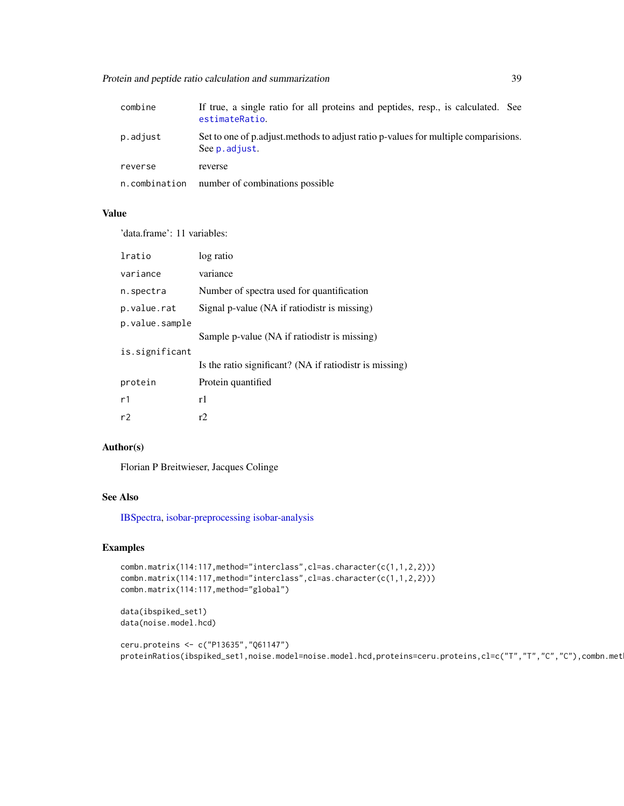<span id="page-38-0"></span>

| combine       | If true, a single ratio for all proteins and peptides, resp., is calculated. See<br>estimateRatio.   |
|---------------|------------------------------------------------------------------------------------------------------|
| p.adjust      | Set to one of p.adjust.methods to adjust ratio p-values for multiple comparisions.<br>See p. adjust. |
| reverse       | reverse                                                                                              |
| n.combination | number of combinations possible                                                                      |

## Value

'data.frame': 11 variables:

| lratio         | log ratio                                               |
|----------------|---------------------------------------------------------|
| variance       | variance                                                |
| n.spectra      | Number of spectra used for quantification               |
| p.value.rat    | Signal p-value (NA if ratiodistr is missing)            |
| p.value.sample |                                                         |
|                | Sample p-value (NA if ratiodistr is missing)            |
| is.significant |                                                         |
|                | Is the ratio significant? (NA if ratiodistr is missing) |
| protein        | Protein quantified                                      |
| r1             | r1                                                      |
| r2             | r2                                                      |

## Author(s)

Florian P Breitwieser, Jacques Colinge

## See Also

[IBSpectra,](#page-17-1) [isobar-preprocessing](#page-27-2) [isobar-analysis](#page-21-2)

## Examples

```
combn.matrix(114:117,method="interclass",cl=as.character(c(1,1,2,2)))
combn.matrix(114:117,method="interclass",cl=as.character(c(1,1,2,2)))
combn.matrix(114:117,method="global")
```
data(ibspiked\_set1) data(noise.model.hcd)

```
ceru.proteins <- c("P13635","Q61147")
proteinRatios(ibspiked_set1,noise.model=noise.model.hcd,proteins=ceru.proteins,cl=c("T","T","C","C"),combn.met
```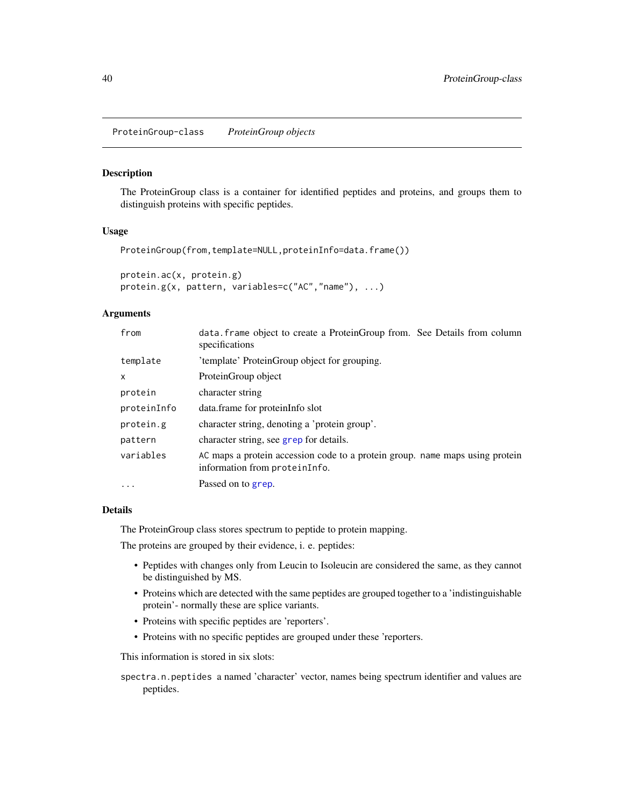<span id="page-39-0"></span>ProteinGroup-class *ProteinGroup objects*

## <span id="page-39-1"></span>Description

The ProteinGroup class is a container for identified peptides and proteins, and groups them to distinguish proteins with specific peptides.

#### Usage

```
ProteinGroup(from,template=NULL,proteinInfo=data.frame())
```
protein.ac(x, protein.g) protein.g(x, pattern, variables=c("AC","name"), ...)

## Arguments

| data. frame object to create a ProteinGroup from. See Details from column<br>specifications                   |
|---------------------------------------------------------------------------------------------------------------|
| 'template' ProteinGroup object for grouping.                                                                  |
| ProteinGroup object                                                                                           |
| character string                                                                                              |
| data.frame for proteinInfo slot                                                                               |
| character string, denoting a 'protein group'.                                                                 |
| character string, see grep for details.                                                                       |
| AC maps a protein accession code to a protein group. name maps using protein<br>information from proteinInfo. |
| Passed on to grep.                                                                                            |
|                                                                                                               |

## Details

The ProteinGroup class stores spectrum to peptide to protein mapping.

The proteins are grouped by their evidence, i. e. peptides:

- Peptides with changes only from Leucin to Isoleucin are considered the same, as they cannot be distinguished by MS.
- Proteins which are detected with the same peptides are grouped together to a 'indistinguishable protein'- normally these are splice variants.
- Proteins with specific peptides are 'reporters'.
- Proteins with no specific peptides are grouped under these 'reporters.

This information is stored in six slots:

spectra.n.peptides a named 'character' vector, names being spectrum identifier and values are peptides.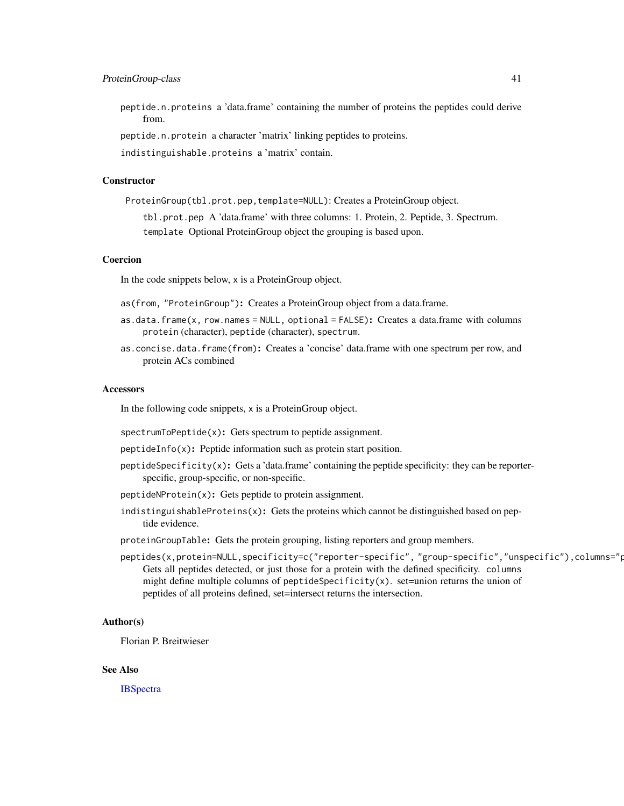#### <span id="page-40-0"></span>ProteinGroup-class 41

peptide.n.proteins a 'data.frame' containing the number of proteins the peptides could derive from.

peptide.n.protein a character 'matrix' linking peptides to proteins.

indistinguishable.proteins a 'matrix' contain.

## **Constructor**

ProteinGroup(tbl.prot.pep,template=NULL): Creates a ProteinGroup object.

tbl.prot.pep A 'data.frame' with three columns: 1. Protein, 2. Peptide, 3. Spectrum. template Optional ProteinGroup object the grouping is based upon.

#### Coercion

In the code snippets below, x is a ProteinGroup object.

- as(from, "ProteinGroup"): Creates a ProteinGroup object from a data.frame.
- as.data.frame(x, row.names = NULL, optional = FALSE): Creates a data.frame with columns protein (character), peptide (character), spectrum.
- as.concise.data.frame(from): Creates a 'concise' data.frame with one spectrum per row, and protein ACs combined

#### **Accessors**

In the following code snippets, x is a ProteinGroup object.

- spectrumToPeptide(x): Gets spectrum to peptide assignment.
- peptideInfo(x): Peptide information such as protein start position.
- peptideSpecificity( $x$ ): Gets a 'data.frame' containing the peptide specificity: they can be reporterspecific, group-specific, or non-specific.
- peptideNProtein(x): Gets peptide to protein assignment.
- indistinguishableProteins $(x)$ : Gets the proteins which cannot be distinguished based on peptide evidence.
- proteinGroupTable: Gets the protein grouping, listing reporters and group members.
- peptides(x,protein=NULL,specificity=c("reporter-specific", "group-specific","unspecific"),columns="p Gets all peptides detected, or just those for a protein with the defined specificity. columns might define multiple columns of peptideSpecificity(x). set=union returns the union of peptides of all proteins defined, set=intersect returns the intersection.

#### Author(s)

Florian P. Breitwieser

## See Also

**[IBSpectra](#page-17-1)**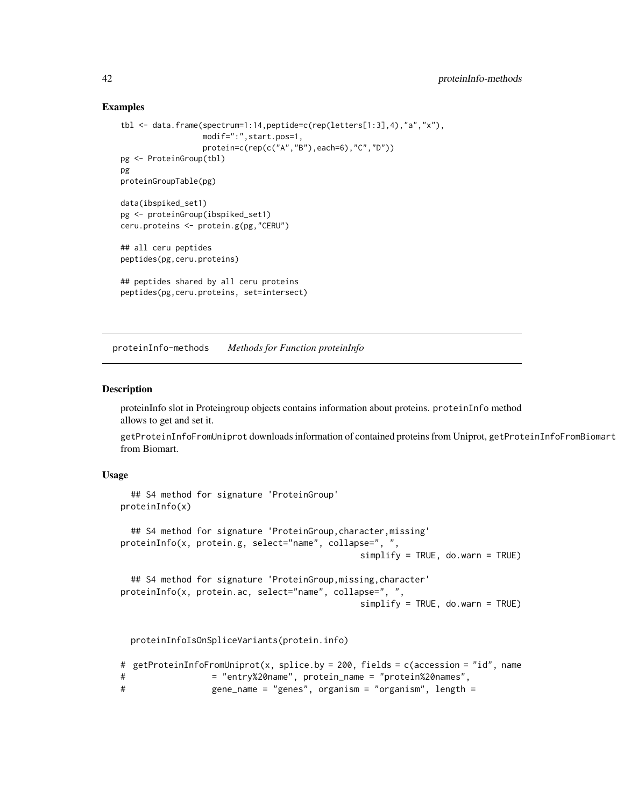#### Examples

```
tbl <- data.frame(spectrum=1:14,peptide=c(rep(letters[1:3],4),"a","x"),
                  modif=":",start.pos=1,
                  protein=c(rep(c("A","B"),each=6),"C","D"))
pg <- ProteinGroup(tbl)
pg
proteinGroupTable(pg)
data(ibspiked_set1)
pg <- proteinGroup(ibspiked_set1)
ceru.proteins <- protein.g(pg,"CERU")
## all ceru peptides
peptides(pg,ceru.proteins)
## peptides shared by all ceru proteins
peptides(pg,ceru.proteins, set=intersect)
```
proteinInfo-methods *Methods for Function proteinInfo*

#### <span id="page-41-1"></span>Description

proteinInfo slot in Proteingroup objects contains information about proteins. proteinInfo method allows to get and set it.

getProteinInfoFromUniprot downloads information of contained proteins from Uniprot, getProteinInfoFromBiomart from Biomart.

#### Usage

```
## S4 method for signature 'ProteinGroup'
proteinInfo(x)
  ## S4 method for signature 'ProteinGroup,character,missing'
proteinInfo(x, protein.g, select="name", collapse=", ",
                                               simplify = TRUE, do. warn = TRUE## S4 method for signature 'ProteinGroup,missing,character'
proteinInfo(x, protein.ac, select="name", collapse=", ",
                                               simplify = TRUE, do.warn = TRUE)
```
proteinInfoIsOnSpliceVariants(protein.info)

```
# getProteinInfoFromUniprot(x, splice.by = 200, fields = c(accession = "id", name
# = "entry%20name", protein_name = "protein%20names",
# gene_name = "genes", organism = "organism", length =
```
<span id="page-41-0"></span>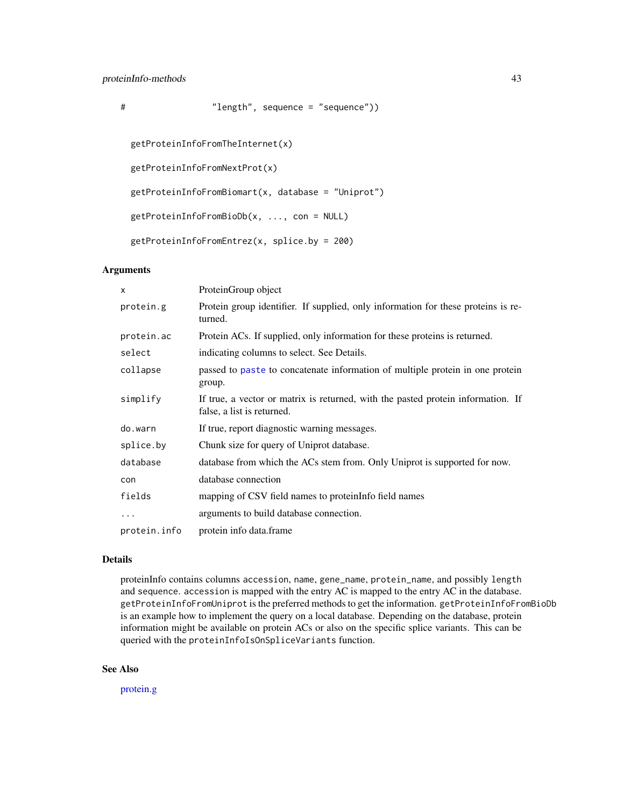```
# "length", sequence = "sequence"))
```

```
getProteinInfoFromTheInternet(x)
```
getProteinInfoFromNextProt(x)

 $getProteinInfoFromBiomart(x, database = "Uniprot")$ 

```
getProteinInfoFromBioDb(x, ..., con = NULL)
```

```
getProteinInfoFromEntrez(x, splice.by = 200)
```
## Arguments

| X            | ProteinGroup object                                                                                            |
|--------------|----------------------------------------------------------------------------------------------------------------|
| protein.g    | Protein group identifier. If supplied, only information for these proteins is re-<br>turned.                   |
| protein.ac   | Protein ACs. If supplied, only information for these proteins is returned.                                     |
| select       | indicating columns to select. See Details.                                                                     |
| collapse     | passed to paste to concatenate information of multiple protein in one protein<br>group.                        |
| simplify     | If true, a vector or matrix is returned, with the pasted protein information. If<br>false, a list is returned. |
| do.warn      | If true, report diagnostic warning messages.                                                                   |
| splice.by    | Chunk size for query of Uniprot database.                                                                      |
| database     | database from which the ACs stem from. Only Uniprot is supported for now.                                      |
| con          | database connection                                                                                            |
| fields       | mapping of CSV field names to proteinInfo field names                                                          |
| $\cdots$     | arguments to build database connection.                                                                        |
| protein.info | protein info data.frame                                                                                        |

## Details

proteinInfo contains columns accession, name, gene\_name, protein\_name, and possibly length and sequence. accession is mapped with the entry AC is mapped to the entry AC in the database. getProteinInfoFromUniprot is the preferred methods to get the information. getProteinInfoFromBioDb is an example how to implement the query on a local database. Depending on the database, protein information might be available on protein ACs or also on the specific splice variants. This can be queried with the proteinInfoIsOnSpliceVariants function.

## See Also

[protein.g](#page-39-1)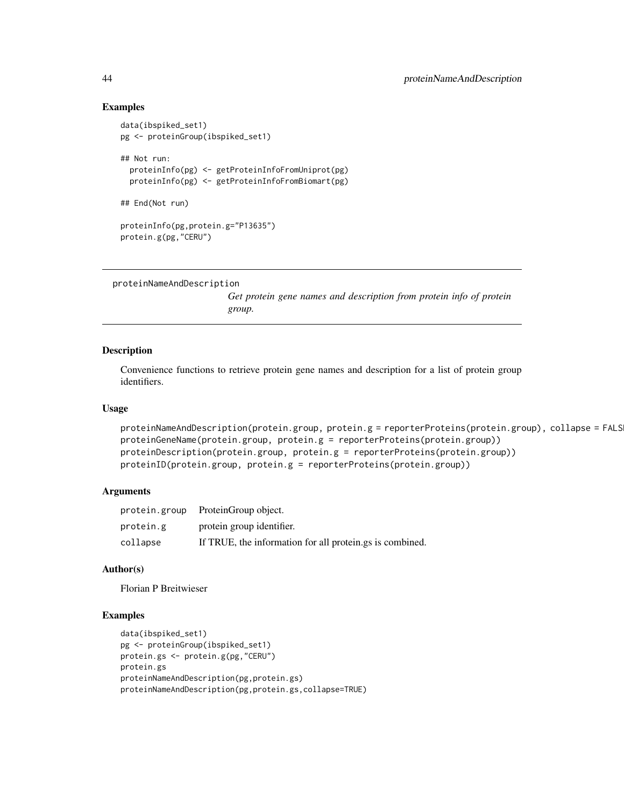#### Examples

```
data(ibspiked_set1)
pg <- proteinGroup(ibspiked_set1)
## Not run:
  proteinInfo(pg) <- getProteinInfoFromUniprot(pg)
  proteinInfo(pg) <- getProteinInfoFromBiomart(pg)
## End(Not run)
proteinInfo(pg,protein.g="P13635")
protein.g(pg,"CERU")
```

```
proteinNameAndDescription
```
*Get protein gene names and description from protein info of protein group.*

## Description

Convenience functions to retrieve protein gene names and description for a list of protein group identifiers.

## Usage

```
proteinNameAndDescription(protein.group, protein.g = reporterProteins(protein.group), collapse = FALS
proteinGeneName(protein.group, protein.g = reporterProteins(protein.group))
proteinDescription(protein.group, protein.g = reporterProteins(protein.group))
proteinID(protein.group, protein.g = reporterProteins(protein.group))
```
### Arguments

|           | protein.group ProteinGroup object.                       |
|-----------|----------------------------------------------------------|
| protein.g | protein group identifier.                                |
| collapse  | If TRUE, the information for all protein.gs is combined. |

#### Author(s)

Florian P Breitwieser

```
data(ibspiked_set1)
pg <- proteinGroup(ibspiked_set1)
protein.gs <- protein.g(pg,"CERU")
protein.gs
proteinNameAndDescription(pg,protein.gs)
proteinNameAndDescription(pg,protein.gs,collapse=TRUE)
```
<span id="page-43-0"></span>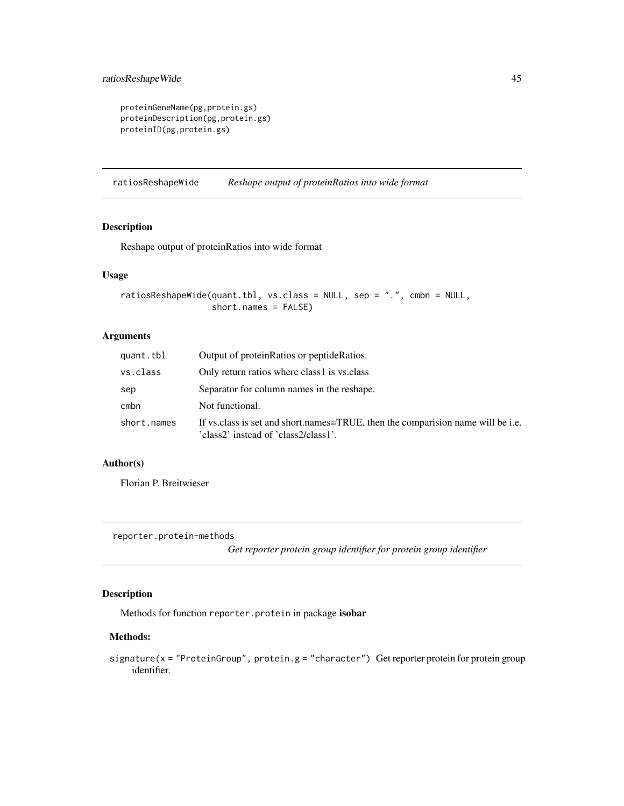```
proteinGeneName(pg,protein.gs)
proteinDescription(pg,protein.gs)
proteinID(pg,protein.gs)
```
ratiosReshapeWide *Reshape output of proteinRatios into wide format*

## Description

Reshape output of proteinRatios into wide format

## Usage

```
ratiosReshapeWide(quant.tbl, vs.class = NULL, sep = ".", cmbn = NULL,
                  short.names = FALSE)
```
## Arguments

| quant.tbl   | Output of proteinRatios or peptideRatios.                                                                               |
|-------------|-------------------------------------------------------------------------------------------------------------------------|
| vs.class    | Only return ratios where class1 is vs.class                                                                             |
| sep         | Separator for column names in the reshape.                                                                              |
| cmbn        | Not functional.                                                                                                         |
| short.names | If vs. class is set and short names=TRUE, then the comparison name will be i.e.<br>'class2' instead of 'class2/class1'. |

## Author(s)

Florian P. Breitwieser

reporter.protein-methods

*Get reporter protein group identifier for protein group identifier*

## Description

Methods for function reporter.protein in package isobar

## Methods:

signature(x = "ProteinGroup", protein.g = "character") Get reporter protein for protein group identifier.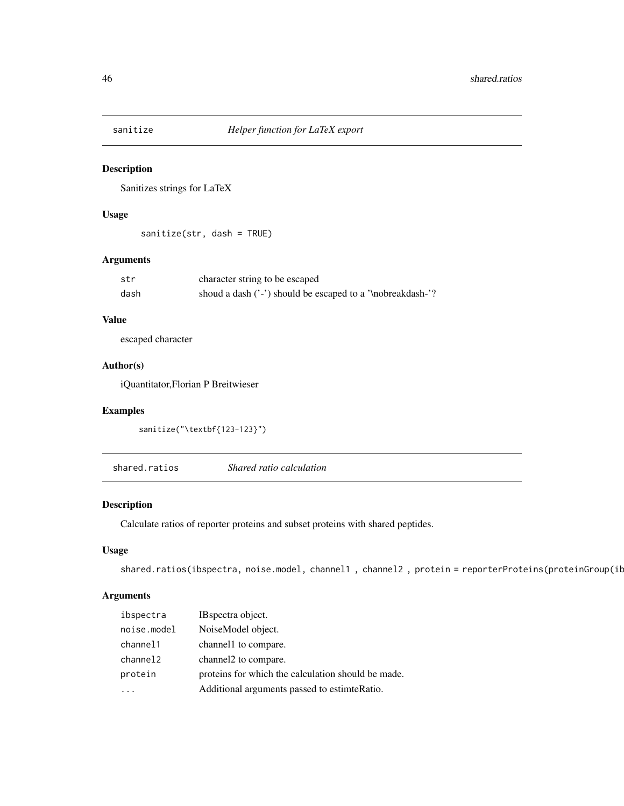<span id="page-45-0"></span>

Sanitizes strings for LaTeX

## Usage

sanitize(str, dash = TRUE)

## Arguments

| str  | character string to be escaped                             |
|------|------------------------------------------------------------|
| dash | shoud a dash ('-') should be escaped to a '\nobreakdash-'? |

## Value

escaped character

## Author(s)

iQuantitator,Florian P Breitwieser

## Examples

```
sanitize("\textbf{123-123}")
```
<span id="page-45-1"></span>shared.ratios *Shared ratio calculation*

## Description

Calculate ratios of reporter proteins and subset proteins with shared peptides.

## Usage

```
shared.ratios(ibspectra, noise.model, channel1, channel2, protein = reporterProteins(proteinGroup(ib
```
## Arguments

| ibspectra   | IB spectra object.                                 |
|-------------|----------------------------------------------------|
| noise.model | NoiseModel object.                                 |
| channel1    | channel to compare.                                |
| channel2    | channel to compare.                                |
| protein     | proteins for which the calculation should be made. |
|             | Additional arguments passed to estimteRatio.       |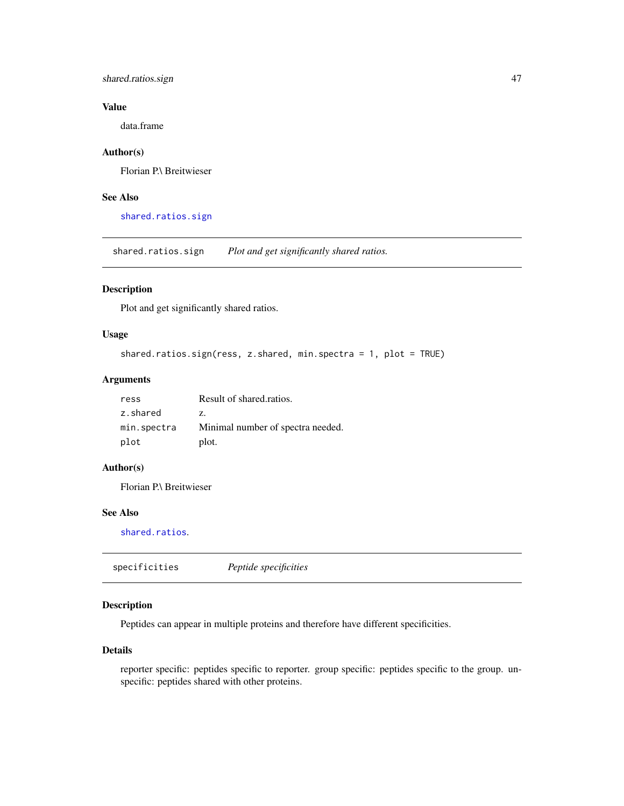## <span id="page-46-0"></span>shared.ratios.sign 47

## Value

data.frame

## Author(s)

Florian P.\ Breitwieser

## See Also

[shared.ratios.sign](#page-46-2)

<span id="page-46-2"></span>shared.ratios.sign *Plot and get significantly shared ratios.*

## Description

Plot and get significantly shared ratios.

## Usage

```
shared.ratios.sign(ress, z.shared, min.spectra = 1, plot = TRUE)
```
## Arguments

| ress        | Result of shared.ratios.          |
|-------------|-----------------------------------|
| z.shared    | Z.                                |
| min.spectra | Minimal number of spectra needed. |
| plot        | plot.                             |

#### Author(s)

Florian P.\ Breitwieser

## See Also

[shared.ratios](#page-45-1).

<span id="page-46-1"></span>specificities *Peptide specificities*

## Description

Peptides can appear in multiple proteins and therefore have different specificities.

## Details

reporter specific: peptides specific to reporter. group specific: peptides specific to the group. unspecific: peptides shared with other proteins.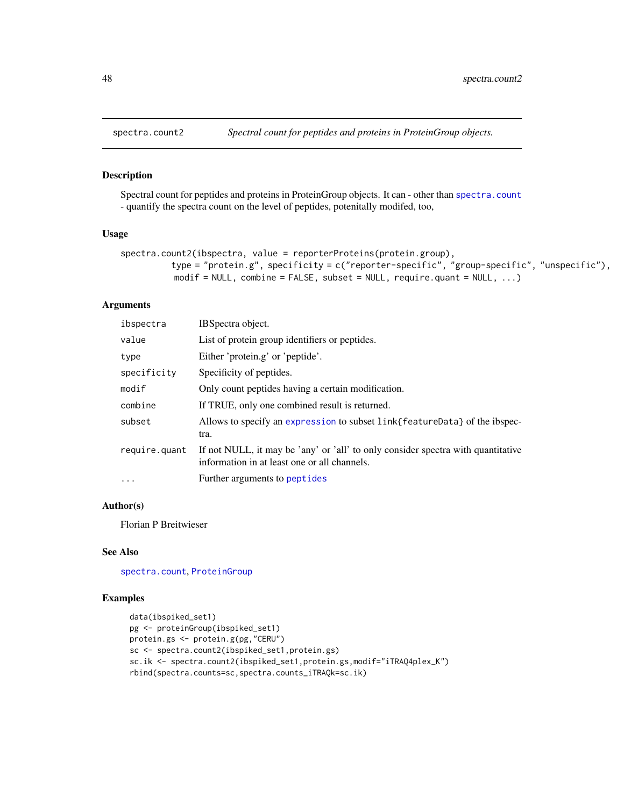<span id="page-47-0"></span>

Spectral count for peptides and proteins in ProteinGroup objects. It can - other than [spectra.count](#page-35-1) - quantify the spectra count on the level of peptides, potenitally modifed, too,

## Usage

```
spectra.count2(ibspectra, value = reporterProteins(protein.group),
          type = "protein.g", specificity = c("reporter-specific", "group-specific", "unspecific"),
          modif = NULL, combine = FALSE, subset = NULL, require.quant = NULL, \dots)
```
## Arguments

| IBSpectra object.                                                                                                                |  |
|----------------------------------------------------------------------------------------------------------------------------------|--|
| List of protein group identifiers or peptides.                                                                                   |  |
| Either 'protein.g' or 'peptide'.                                                                                                 |  |
| Specificity of peptides.                                                                                                         |  |
| Only count peptides having a certain modification.                                                                               |  |
| If TRUE, only one combined result is returned.                                                                                   |  |
| Allows to specify an expression to subset link{featureData} of the ibspec-<br>tra.                                               |  |
| If not NULL, it may be 'any' or 'all' to only consider spectra with quantitative<br>information in at least one or all channels. |  |
| Further arguments to peptides                                                                                                    |  |
|                                                                                                                                  |  |

## Author(s)

Florian P Breitwieser

#### See Also

[spectra.count](#page-35-1), [ProteinGroup](#page-39-1)

```
data(ibspiked_set1)
pg <- proteinGroup(ibspiked_set1)
protein.gs <- protein.g(pg,"CERU")
sc <- spectra.count2(ibspiked_set1,protein.gs)
sc.ik <- spectra.count2(ibspiked_set1,protein.gs,modif="iTRAQ4plex_K")
rbind(spectra.counts=sc,spectra.counts_iTRAQk=sc.ik)
```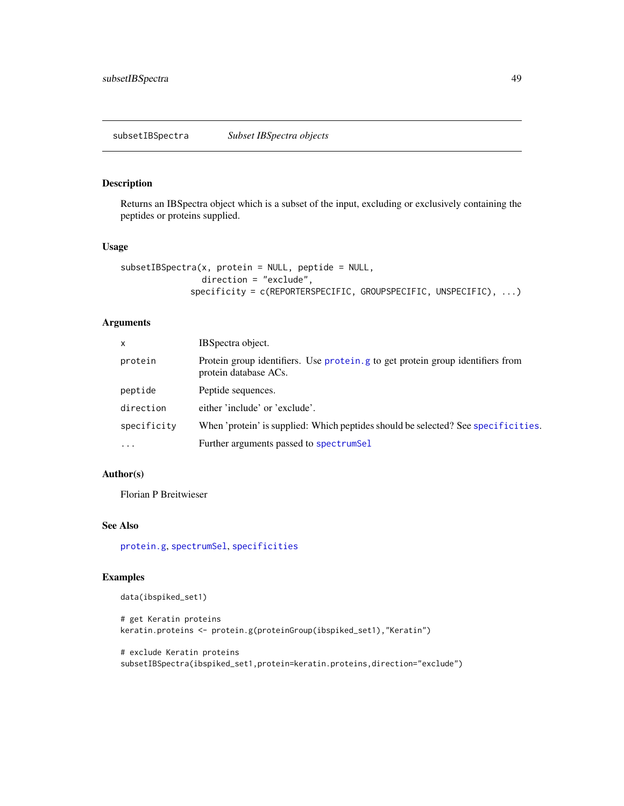<span id="page-48-1"></span><span id="page-48-0"></span>Returns an IBSpectra object which is a subset of the input, excluding or exclusively containing the peptides or proteins supplied.

## Usage

```
subsetIBSpectra(x, protein = NULL, peptide = NULL,
                direction = "exclude",
             specificity = c(REPORTERSPECIFIC, GROUPSPECIFIC, UNSPECIFIC), ...)
```
## Arguments

| X           | IBSpectra object.                                                                                       |  |
|-------------|---------------------------------------------------------------------------------------------------------|--|
| protein     | Protein group identifiers. Use protein g to get protein group identifiers from<br>protein database ACs. |  |
| peptide     | Peptide sequences.                                                                                      |  |
| direction   | either 'include' or 'exclude'.                                                                          |  |
| specificity | When 'protein' is supplied: Which peptides should be selected? See specificities.                       |  |
| $\cdot$     | Further arguments passed to spectrumSel                                                                 |  |

## Author(s)

Florian P Breitwieser

## See Also

[protein.g](#page-39-1), [spectrumSel](#page-17-1), [specificities](#page-46-1)

```
data(ibspiked_set1)
```

```
# get Keratin proteins
keratin.proteins <- protein.g(proteinGroup(ibspiked_set1),"Keratin")
```

```
# exclude Keratin proteins
subsetIBSpectra(ibspiked_set1,protein=keratin.proteins,direction="exclude")
```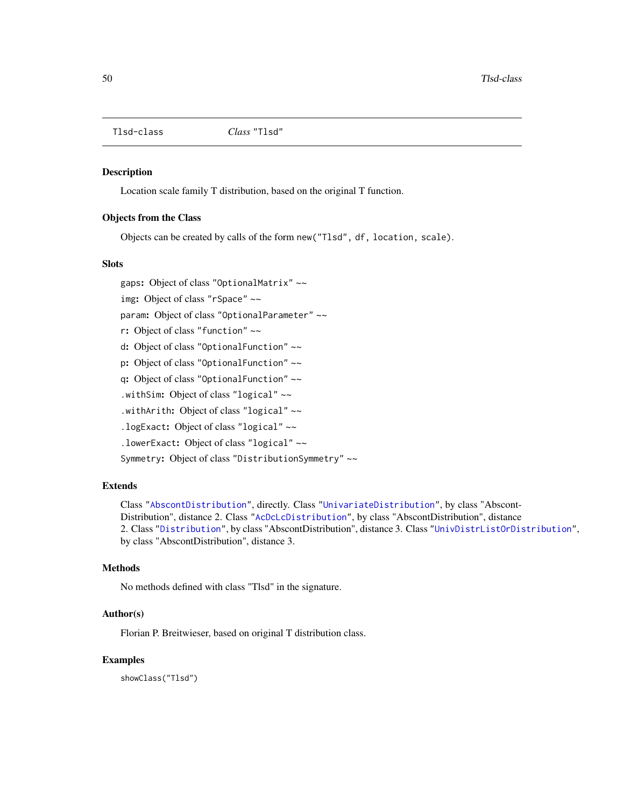<span id="page-49-1"></span><span id="page-49-0"></span>

Location scale family T distribution, based on the original T function.

## Objects from the Class

Objects can be created by calls of the form new("Tlsd", df, location, scale).

#### **Slots**

gaps: Object of class "OptionalMatrix" ~~

img: Object of class "rSpace" ~~

param: Object of class "OptionalParameter" ~~

r: Object of class "function" ~~

d: Object of class "OptionalFunction" ~~

p: Object of class "OptionalFunction" ~~

q: Object of class "OptionalFunction" ~~

.withSim: Object of class "logical" ~~

.withArith: Object of class "logical" ~~

.logExact: Object of class "logical" ~~

.lowerExact: Object of class "logical" ~~

Symmetry: Object of class "DistributionSymmetry" ~~

#### Extends

Class ["AbscontDistribution"](#page-9-1), directly. Class ["UnivariateDistribution"](#page-9-1), by class "Abscont-Distribution", distance 2. Class ["AcDcLcDistribution"](#page-0-0), by class "AbscontDistribution", distance 2. Class ["Distribution"](#page-9-1), by class "AbscontDistribution", distance 3. Class ["UnivDistrListOrDistribution"](#page-0-0), by class "AbscontDistribution", distance 3.

### Methods

No methods defined with class "Tlsd" in the signature.

#### Author(s)

Florian P. Breitwieser, based on original T distribution class.

#### Examples

showClass("Tlsd")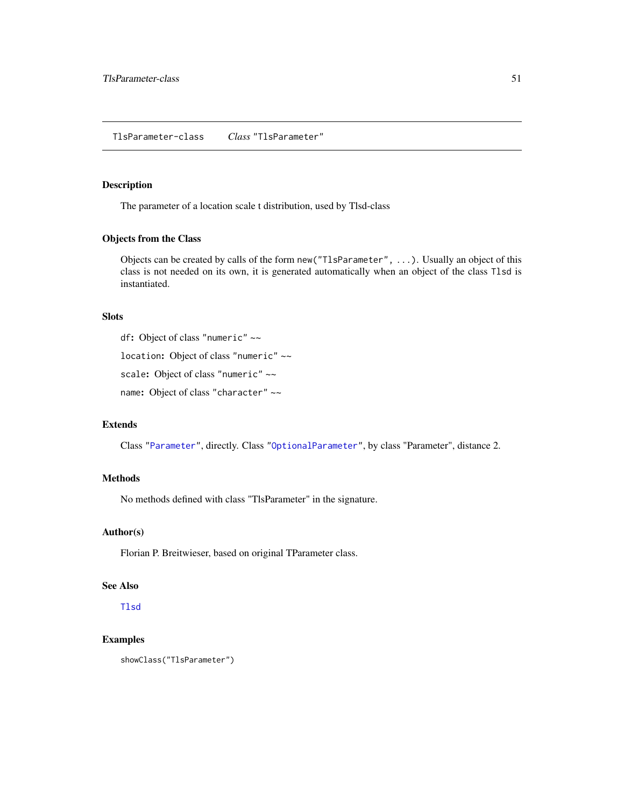<span id="page-50-0"></span>The parameter of a location scale t distribution, used by Tlsd-class

#### Objects from the Class

Objects can be created by calls of the form new("TlsParameter", ...). Usually an object of this class is not needed on its own, it is generated automatically when an object of the class Tlsd is instantiated.

#### Slots

df: Object of class "numeric" ~~

location: Object of class "numeric" ~~

scale: Object of class "numeric" ~~

name: Object of class "character" ~~

## Extends

Class ["Parameter"](#page-9-1), directly. Class ["OptionalParameter"](#page-0-0), by class "Parameter", distance 2.

#### Methods

No methods defined with class "TlsParameter" in the signature.

## Author(s)

Florian P. Breitwieser, based on original TParameter class.

#### See Also

[Tlsd](#page-49-1)

```
showClass("TlsParameter")
```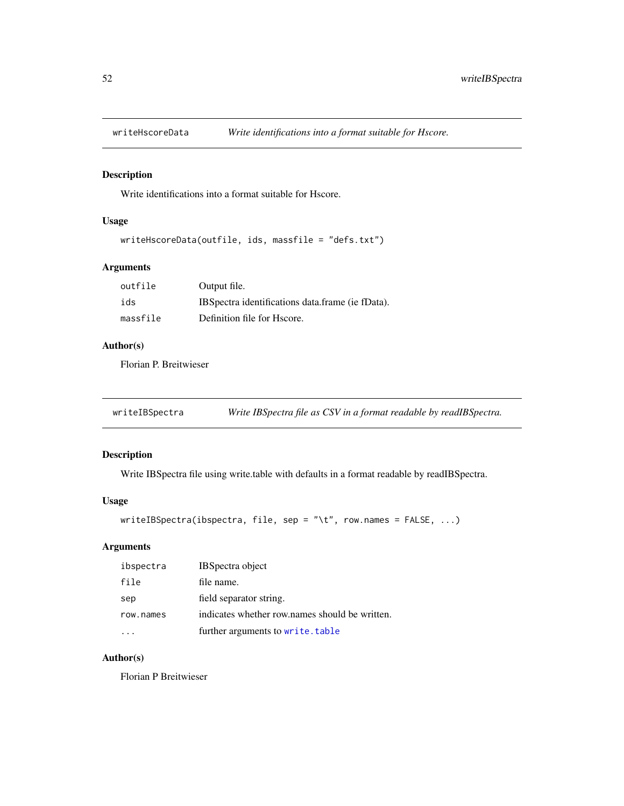<span id="page-51-0"></span>

Write identifications into a format suitable for Hscore.

## Usage

```
writeHscoreData(outfile, ids, massfile = "defs.txt")
```
## Arguments

| outfile  | Output file.                                      |
|----------|---------------------------------------------------|
| ids      | IBS pectra identifications data frame (ie fData). |
| massfile | Definition file for Hscore.                       |

## Author(s)

Florian P. Breitwieser

writeIBSpectra *Write IBSpectra file as CSV in a format readable by readIBSpectra.*

## Description

Write IBSpectra file using write.table with defaults in a format readable by readIBSpectra.

## Usage

```
writeIBSpectra(ibspectra, file, sep = "\t", row.names = FALSE, ...)
```
## Arguments

| ibspectra | <b>IBSpectra object</b>                        |
|-----------|------------------------------------------------|
| file      | file name.                                     |
| sep       | field separator string.                        |
| row.names | indicates whether row names should be written. |
|           | further arguments to write.table               |

## Author(s)

Florian P Breitwieser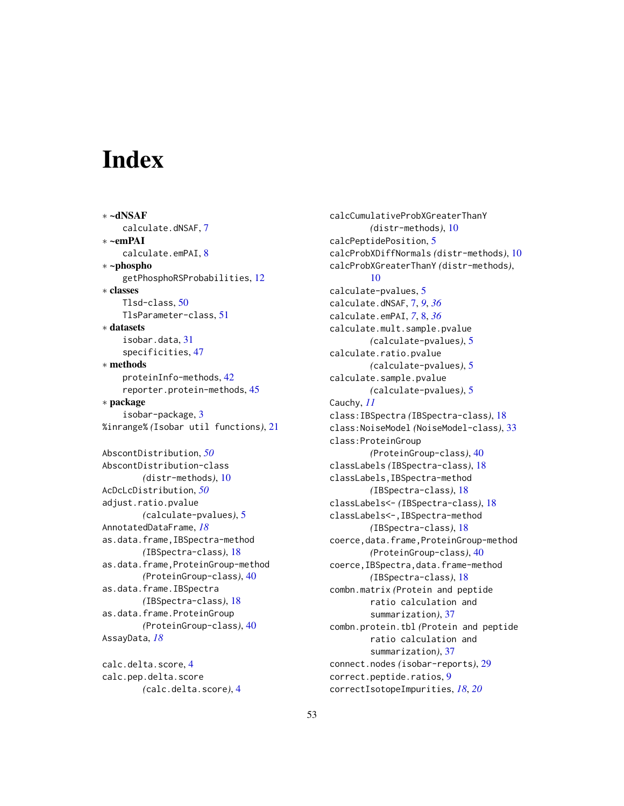# <span id="page-52-0"></span>**Index**

∗ ~dNSAF calculate.dNSAF, [7](#page-6-0) ∗ ~emPAI calculate.emPAI, [8](#page-7-0) ∗ ~phospho getPhosphoRSProbabilities, [12](#page-11-0) ∗ classes Tlsd-class, [50](#page-49-0) TlsParameter-class, [51](#page-50-0) ∗ datasets isobar.data, [31](#page-30-0) specificities, [47](#page-46-0) ∗ methods proteinInfo-methods, [42](#page-41-0) reporter.protein-methods, [45](#page-44-0) ∗ package isobar-package, [3](#page-2-0) %inrange% *(*Isobar util functions*)*, [21](#page-20-0) AbscontDistribution, *[50](#page-49-0)* AbscontDistribution-class *(*distr-methods*)*, [10](#page-9-0) AcDcLcDistribution, *[50](#page-49-0)* adjust.ratio.pvalue *(*calculate-pvalues*)*, [5](#page-4-0) AnnotatedDataFrame, *[18](#page-17-0)* as.data.frame,IBSpectra-method *(*IBSpectra-class*)*, [18](#page-17-0) as.data.frame,ProteinGroup-method *(*ProteinGroup-class*)*, [40](#page-39-0) as.data.frame.IBSpectra *(*IBSpectra-class*)*, [18](#page-17-0) as.data.frame.ProteinGroup *(*ProteinGroup-class*)*, [40](#page-39-0)

AssayData, *[18](#page-17-0)*

calc.delta.score, [4](#page-3-0) calc.pep.delta.score *(*calc.delta.score*)*, [4](#page-3-0) calcCumulativeProbXGreaterThanY *(*distr-methods*)*, [10](#page-9-0) calcPeptidePosition, [5](#page-4-0) calcProbXDiffNormals *(*distr-methods*)*, [10](#page-9-0) calcProbXGreaterThanY *(*distr-methods*)*, [10](#page-9-0) calculate-pvalues, [5](#page-4-0) calculate.dNSAF, [7,](#page-6-0) *[9](#page-8-0)*, *[36](#page-35-0)* calculate.emPAI, *[7](#page-6-0)*, [8,](#page-7-0) *[36](#page-35-0)* calculate.mult.sample.pvalue *(*calculate-pvalues*)*, [5](#page-4-0) calculate.ratio.pvalue *(*calculate-pvalues*)*, [5](#page-4-0) calculate.sample.pvalue *(*calculate-pvalues*)*, [5](#page-4-0) Cauchy, *[11](#page-10-0)* class:IBSpectra *(*IBSpectra-class*)*, [18](#page-17-0) class:NoiseModel *(*NoiseModel-class*)*, [33](#page-32-0) class:ProteinGroup *(*ProteinGroup-class*)*, [40](#page-39-0) classLabels *(*IBSpectra-class*)*, [18](#page-17-0) classLabels,IBSpectra-method *(*IBSpectra-class*)*, [18](#page-17-0) classLabels<- *(*IBSpectra-class*)*, [18](#page-17-0) classLabels<-,IBSpectra-method *(*IBSpectra-class*)*, [18](#page-17-0) coerce,data.frame,ProteinGroup-method *(*ProteinGroup-class*)*, [40](#page-39-0) coerce,IBSpectra,data.frame-method *(*IBSpectra-class*)*, [18](#page-17-0) combn.matrix *(*Protein and peptide ratio calculation and summarization*)*, [37](#page-36-0) combn.protein.tbl *(*Protein and peptide ratio calculation and summarization*)*, [37](#page-36-0) connect.nodes *(*isobar-reports*)*, [29](#page-28-0) correct.peptide.ratios, [9](#page-8-0) correctIsotopeImpurities, *[18](#page-17-0)*, *[20](#page-19-0)*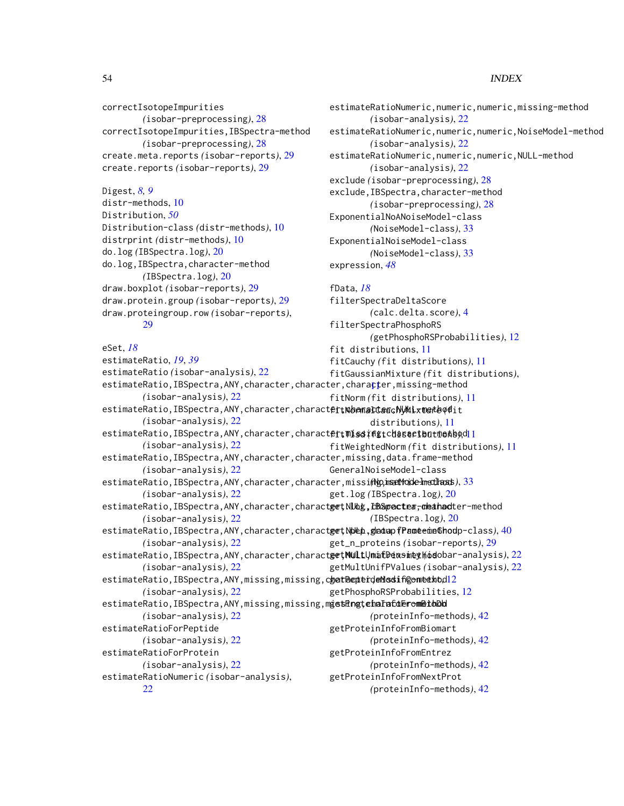estimateRatioNumeric,numeric,numeric,missing-method

estimateRatioNumeric,numeric,numeric,NULL-method

estimateRatioNumeric,numeric,numeric,NoiseModel-method

*(*isobar-analysis*)*, [22](#page-21-0)

*(*isobar-analysis*)*, [22](#page-21-0)

*(*isobar-analysis*)*, [22](#page-21-0) exclude *(*isobar-preprocessing*)*, [28](#page-27-0) exclude,IBSpectra,character-method *(*isobar-preprocessing*)*, [28](#page-27-0)

*(*NoiseModel-class*)*, [33](#page-32-0)

*(*calc.delta.score*)*, [4](#page-3-0)

*(*getPhosphoRSProbabilities*)*, [12](#page-11-0)

ExponentialNoANoiseModel-class *(*NoiseModel-class*)*, [33](#page-32-0)

ExponentialNoiseModel-class

filterSpectraDeltaScore

filterSpectraPhosphoRS

expression, *[48](#page-47-0)*

fData, *[18](#page-17-0)*

correctIsotopeImpurities *(*isobar-preprocessing*)*, [28](#page-27-0) correctIsotopeImpurities,IBSpectra-method *(*isobar-preprocessing*)*, [28](#page-27-0) create.meta.reports *(*isobar-reports*)*, [29](#page-28-0) create.reports *(*isobar-reports*)*, [29](#page-28-0)

## Digest, *[8,](#page-7-0) [9](#page-8-0)* distr-methods, [10](#page-9-0) Distribution, *[50](#page-49-0)* Distribution-class *(*distr-methods*)*, [10](#page-9-0) distrprint *(*distr-methods*)*, [10](#page-9-0) do.log *(*IBSpectra.log*)*, [20](#page-19-0) do.log,IBSpectra,character-method *(*IBSpectra.log*)*, [20](#page-19-0) draw.boxplot *(*isobar-reports*)*, [29](#page-28-0) draw.protein.group *(*isobar-reports*)*, [29](#page-28-0) draw.proteingroup.row *(*isobar-reports*)*, [29](#page-28-0)

#### eSet, *[18](#page-17-0)*

estimateRatio, *[19](#page-18-0)*, *[39](#page-38-0)* estimateRatio *(*isobar-analysis*)*, [22](#page-21-0) estimateRatio,IBSpectra,ANY,char[act](#page-10-0)er,character,chara<mark>t</mark>ter,missing-method *(*isobar-analysis*)*, [22](#page-21-0) estimateRatio,IBSpectra,ANY,character,charact**er,\\amalCauch\Mixtetbod**it *(*isobar-analysis*)*, [22](#page-21-0) estimateRatio,IBSpectra,ANY,character,charact**ertMissiffgtchasactbut@ekb**odl1 *(*isobar-analysis*)*, [22](#page-21-0) estimateRatio, IBSpectra, ANY, character, character, missing, data.frame-method *(*isobar-analysis*)*, [22](#page-21-0) estimateRatio,IBSpectra,ANY,character,character,missi**ng,imetMode-InetIhoss**),[33](#page-32-0) *(*isobar-analysis*)*, [22](#page-21-0) estimateRatio,IBSpectra,ANY,character,charact**g<del>e</del>t,NUbg,EBSpectea<del>,</del>cheahad**ter-method *(*isobar-analysis*)*, [22](#page-21-0) estimateRatio,IBSpectra,ANY,character,charact**get\NDep.gladuapfPame**emeGhodp-class), [40](#page-39-0) *(*isobar-analysis*)*, [22](#page-21-0) estimateRatio,IBSpectra,ANY,character,charact**getMULtUmafDexsineyModob**ar-analysis), [22](#page-21-0) *(*isobar-analysis*)*, [22](#page-21-0) estimateRatio,IBSpectra,ANY,missing,missing,c**hatPepterdeMosif@omeekbdl**2 *(*isobar-analysis*)*, [22](#page-21-0) estimateRatio,IBSpectra,ANY,missing,missing,m**getRngtehaFafdErometbDd** *(*isobar-analysis*)*, [22](#page-21-0) estimateRatioForPeptide *(*isobar-analysis*)*, [22](#page-21-0) estimateRatioForProtein *(*isobar-analysis*)*, [22](#page-21-0) estimateRatioNumeric *(*isobar-analysis*)*, [22](#page-21-0) fit distributions, [11](#page-10-0) fitCauchy *(*fit distributions*)*, [11](#page-10-0) fitGaussianMixture *(*fit distributions*)*, fitNorm *(*fit distributions*)*, [11](#page-10-0) distributions*)*, [11](#page-10-0) fitWeightedNorm *(*fit distributions*)*, [11](#page-10-0) GeneralNoiseModel-class get.log *(*IBSpectra.log*)*, [20](#page-19-0) *(*IBSpectra.log*)*, [20](#page-19-0) get\_n\_proteins *(*isobar-reports*)*, [29](#page-28-0) getMultUnifPValues *(*isobar-analysis*)*, [22](#page-21-0) getPhosphoRSProbabilities, [12](#page-11-0) *(*proteinInfo-methods*)*, [42](#page-41-0) getProteinInfoFromBiomart *(*proteinInfo-methods*)*, [42](#page-41-0) getProteinInfoFromEntrez *(*proteinInfo-methods*)*, [42](#page-41-0) getProteinInfoFromNextProt *(*proteinInfo-methods*)*, [42](#page-41-0)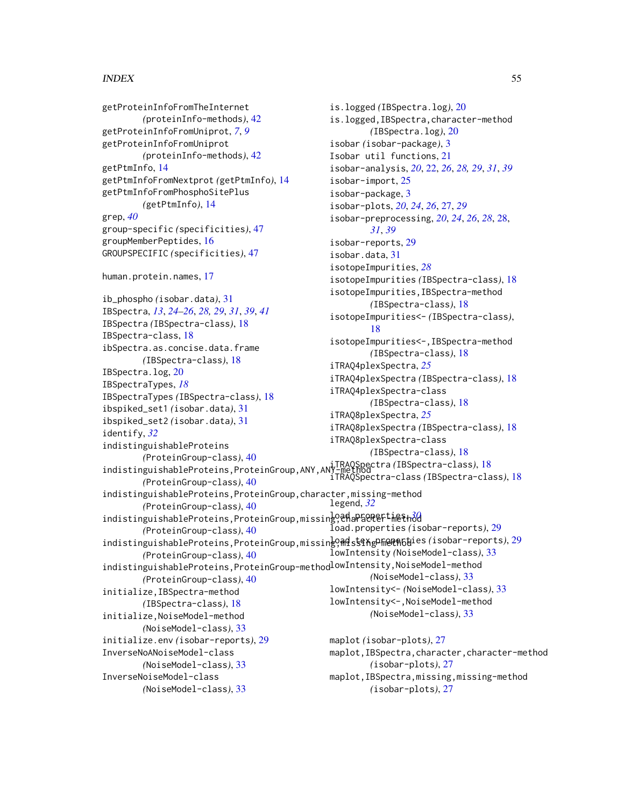getProteinInfoFromTheInternet *(*proteinInfo-methods*)*, [42](#page-41-0) getProteinInfoFromUniprot, *[7](#page-6-0)*, *[9](#page-8-0)* getProteinInfoFromUniprot *(*proteinInfo-methods*)*, [42](#page-41-0) getPtmInfo, [14](#page-13-0) getPtmInfoFromNextprot *(*getPtmInfo*)*, [14](#page-13-0) getPtmInfoFromPhosphoSitePlus *(*getPtmInfo*)*, [14](#page-13-0) grep, *[40](#page-39-0)* group-specific *(*specificities*)*, [47](#page-46-0) groupMemberPeptides, [16](#page-15-0) GROUPSPECIFIC *(*specificities*)*, [47](#page-46-0) human.protein.names, [17](#page-16-0) ib\_phospho *(*isobar.data*)*, [31](#page-30-0) IBSpectra, *[13](#page-12-0)*, *[24](#page-23-0)[–26](#page-25-0)*, *[28,](#page-27-0) [29](#page-28-0)*, *[31](#page-30-0)*, *[39](#page-38-0)*, *[41](#page-40-0)* IBSpectra *(*IBSpectra-class*)*, [18](#page-17-0) IBSpectra-class, [18](#page-17-0) ibSpectra.as.concise.data.frame *(*IBSpectra-class*)*, [18](#page-17-0) IBSpectra.log, [20](#page-19-0) IBSpectraTypes, *[18](#page-17-0)* IBSpectraTypes *(*IBSpectra-class*)*, [18](#page-17-0) ibspiked\_set1 *(*isobar.data*)*, [31](#page-30-0) ibspiked\_set2 *(*isobar.data*)*, [31](#page-30-0) identify, *[32](#page-31-0)* indistinguishableProteins *(*ProteinGroup-class*)*, [40](#page-39-0) indistinguishableProteins,ProteinGroup,ANY,ANY-method iTRAQSpectra *(*IBSpectra-class*)*, [18](#page-17-0) *(*ProteinGroup-class*)*, [40](#page-39-0) indistinguishableProteins,ProteinGroup,character,missing-method *(*ProteinGroup-class*)*, [40](#page-39-0) indistinguishableProteins, ProteinGroup, missing, <del>charactert in Sthod</del> *(*ProteinGroup-class*)*, [40](#page-39-0) indistinguishableProteins, ProteinGroup, missing, **Mdst&AgPF@PhGhi**es (isobar-reports), [29](#page-28-0) *(*ProteinGroup-class*)*, [40](#page-39-0) indistinguishableProteins, ProteinGroup-method<sup>lowIntensity, NoiseModel-method</sup> *(*ProteinGroup-class*)*, [40](#page-39-0) initialize,IBSpectra-method *(*IBSpectra-class*)*, [18](#page-17-0) initialize,NoiseModel-method *(*NoiseModel-class*)*, [33](#page-32-0) initialize.env *(*isobar-reports*)*, [29](#page-28-0) InverseNoANoiseModel-class *(*NoiseModel-class*)*, [33](#page-32-0) InverseNoiseModel-class *(*NoiseModel-class*)*, [33](#page-32-0) is.logged *(*IBSpectra.log*)*, [20](#page-19-0) is.logged,IBSpectra,character-method *(*IBSpectra.log*)*, [20](#page-19-0) isobar *(*isobar-package*)*, [3](#page-2-0) Isobar util functions, [21](#page-20-0) isobar-analysis, *[20](#page-19-0)*, [22,](#page-21-0) *[26](#page-25-0)*, *[28,](#page-27-0) [29](#page-28-0)*, *[31](#page-30-0)*, *[39](#page-38-0)* isobar-import, [25](#page-24-0) isobar-package, [3](#page-2-0) isobar-plots, *[20](#page-19-0)*, *[24](#page-23-0)*, *[26](#page-25-0)*, [27,](#page-26-0) *[29](#page-28-0)* isobar-preprocessing, *[20](#page-19-0)*, *[24](#page-23-0)*, *[26](#page-25-0)*, *[28](#page-27-0)*, [28,](#page-27-0) *[31](#page-30-0)*, *[39](#page-38-0)* isobar-reports, [29](#page-28-0) isobar.data, [31](#page-30-0) isotopeImpurities, *[28](#page-27-0)* isotopeImpurities *(*IBSpectra-class*)*, [18](#page-17-0) isotopeImpurities,IBSpectra-method *(*IBSpectra-class*)*, [18](#page-17-0) isotopeImpurities<- *(*IBSpectra-class*)*, [18](#page-17-0) isotopeImpurities<-,IBSpectra-method *(*IBSpectra-class*)*, [18](#page-17-0) iTRAQ4plexSpectra, *[25](#page-24-0)* iTRAQ4plexSpectra *(*IBSpectra-class*)*, [18](#page-17-0) iTRAQ4plexSpectra-class *(*IBSpectra-class*)*, [18](#page-17-0) iTRAQ8plexSpectra, *[25](#page-24-0)* iTRAQ8plexSpectra *(*IBSpectra-class*)*, [18](#page-17-0) iTRAQ8plexSpectra-class *(*IBSpectra-class*)*, [18](#page-17-0) iTRAQSpectra-class *(*IBSpectra-class*)*, [18](#page-17-0) legend, *[32](#page-31-0)* load.properties *(*isobar-reports*)*, [29](#page-28-0) lowIntensity *(*NoiseModel-class*)*, [33](#page-32-0) *(*NoiseModel-class*)*, [33](#page-32-0) lowIntensity<- *(*NoiseModel-class*)*, [33](#page-32-0) lowIntensity<-,NoiseModel-method *(*NoiseModel-class*)*, [33](#page-32-0) maplot *(*isobar-plots*)*, [27](#page-26-0) maplot,IBSpectra,character,character-method *(*isobar-plots*)*, [27](#page-26-0) maplot,IBSpectra,missing,missing-method *(*isobar-plots*)*, [27](#page-26-0)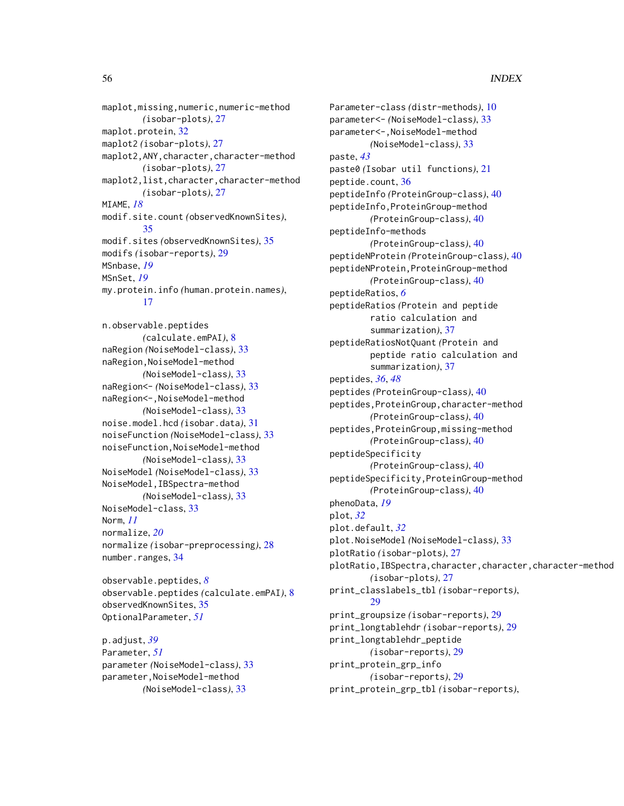maplot,missing,numeric,numeric-method *(*isobar-plots*)*, [27](#page-26-0) maplot.protein, [32](#page-31-0) maplot2 *(*isobar-plots*)*, [27](#page-26-0) maplot2,ANY,character,character-method *(*isobar-plots*)*, [27](#page-26-0) maplot2,list,character,character-method *(*isobar-plots*)*, [27](#page-26-0) MIAME, *[18](#page-17-0)* modif.site.count *(*observedKnownSites*)*, [35](#page-34-0) modif.sites *(*observedKnownSites*)*, [35](#page-34-0) modifs *(*isobar-reports*)*, [29](#page-28-0) MSnbase, *[19](#page-18-0)* MSnSet, *[19](#page-18-0)* my.protein.info *(*human.protein.names*)*, [17](#page-16-0)

n.observable.peptides *(*calculate.emPAI*)*, [8](#page-7-0) naRegion *(*NoiseModel-class*)*, [33](#page-32-0) naRegion,NoiseModel-method *(*NoiseModel-class*)*, [33](#page-32-0) naRegion<- *(*NoiseModel-class*)*, [33](#page-32-0) naRegion<-,NoiseModel-method *(*NoiseModel-class*)*, [33](#page-32-0) noise.model.hcd *(*isobar.data*)*, [31](#page-30-0) noiseFunction *(*NoiseModel-class*)*, [33](#page-32-0) noiseFunction,NoiseModel-method *(*NoiseModel-class*)*, [33](#page-32-0) NoiseModel *(*NoiseModel-class*)*, [33](#page-32-0) NoiseModel,IBSpectra-method *(*NoiseModel-class*)*, [33](#page-32-0) NoiseModel-class, [33](#page-32-0) Norm, *[11](#page-10-0)* normalize, *[20](#page-19-0)* normalize *(*isobar-preprocessing*)*, [28](#page-27-0) number.ranges, [34](#page-33-0)

```
observable.peptides, 8
observable.peptides (calculate.emPAI), 8
observedKnownSites, 35
OptionalParameter, 51
```
p.adjust, *[39](#page-38-0)* Parameter, *[51](#page-50-0)* parameter *(*NoiseModel-class*)*, [33](#page-32-0) parameter,NoiseModel-method *(*NoiseModel-class*)*, [33](#page-32-0)

Parameter-class *(*distr-methods*)*, [10](#page-9-0) parameter<- *(*NoiseModel-class*)*, [33](#page-32-0) parameter<-,NoiseModel-method *(*NoiseModel-class*)*, [33](#page-32-0) paste, *[43](#page-42-0)* paste0 *(*Isobar util functions*)*, [21](#page-20-0) peptide.count, [36](#page-35-0) peptideInfo *(*ProteinGroup-class*)*, [40](#page-39-0) peptideInfo,ProteinGroup-method *(*ProteinGroup-class*)*, [40](#page-39-0) peptideInfo-methods *(*ProteinGroup-class*)*, [40](#page-39-0) peptideNProtein *(*ProteinGroup-class*)*, [40](#page-39-0) peptideNProtein,ProteinGroup-method *(*ProteinGroup-class*)*, [40](#page-39-0) peptideRatios, *[6](#page-5-0)* peptideRatios *(*Protein and peptide ratio calculation and summarization*)*, [37](#page-36-0) peptideRatiosNotQuant *(*Protein and peptide ratio calculation and summarization*)*, [37](#page-36-0) peptides, *[36](#page-35-0)*, *[48](#page-47-0)* peptides *(*ProteinGroup-class*)*, [40](#page-39-0) peptides,ProteinGroup,character-method *(*ProteinGroup-class*)*, [40](#page-39-0) peptides,ProteinGroup,missing-method *(*ProteinGroup-class*)*, [40](#page-39-0) peptideSpecificity *(*ProteinGroup-class*)*, [40](#page-39-0) peptideSpecificity,ProteinGroup-method *(*ProteinGroup-class*)*, [40](#page-39-0) phenoData, *[19](#page-18-0)* plot, *[32](#page-31-0)* plot.default, *[32](#page-31-0)* plot.NoiseModel *(*NoiseModel-class*)*, [33](#page-32-0) plotRatio *(*isobar-plots*)*, [27](#page-26-0) plotRatio,IBSpectra,character,character,character-method *(*isobar-plots*)*, [27](#page-26-0) print\_classlabels\_tbl *(*isobar-reports*)*, [29](#page-28-0) print\_groupsize *(*isobar-reports*)*, [29](#page-28-0) print\_longtablehdr *(*isobar-reports*)*, [29](#page-28-0) print\_longtablehdr\_peptide *(*isobar-reports*)*, [29](#page-28-0) print\_protein\_grp\_info *(*isobar-reports*)*, [29](#page-28-0) print\_protein\_grp\_tbl *(*isobar-reports*)*,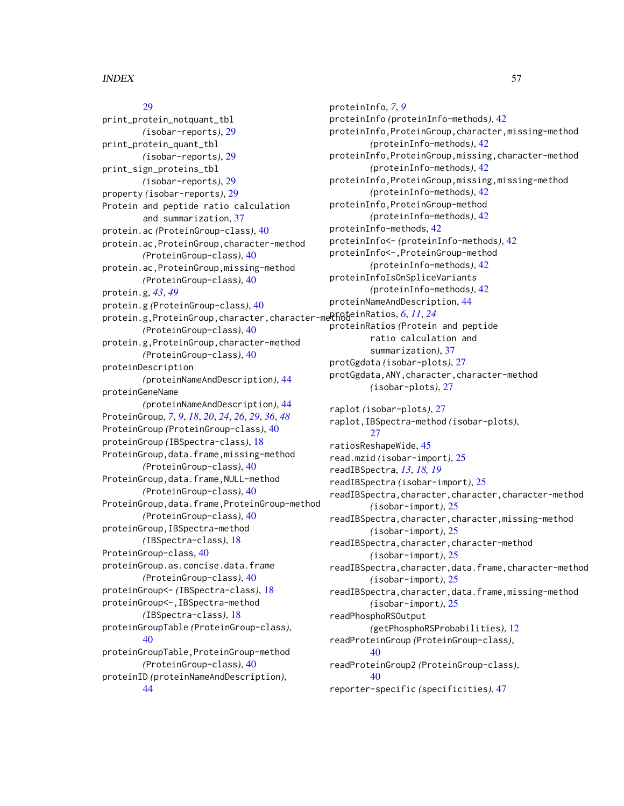## [29](#page-28-0)

print\_protein\_notquant\_tbl *(*isobar-reports*)*, [29](#page-28-0) print\_protein\_quant\_tbl *(*isobar-reports*)*, [29](#page-28-0) print\_sign\_proteins\_tbl *(*isobar-reports*)*, [29](#page-28-0) property *(*isobar-reports*)*, [29](#page-28-0) Protein and peptide ratio calculation and summarization, [37](#page-36-0) protein.ac *(*ProteinGroup-class*)*, [40](#page-39-0) protein.ac,ProteinGroup,character-method *(*ProteinGroup-class*)*, [40](#page-39-0) protein.ac,ProteinGroup,missing-method *(*ProteinGroup-class*)*, [40](#page-39-0) protein.g, *[43](#page-42-0)*, *[49](#page-48-0)* protein.g *(*ProteinGroup-class*)*, [40](#page-39-0) protein.g,ProteinGroup,character,character-methodeinRatios, [6](#page-5-0), [11](#page-10-0), [24](#page-23-0) *(*ProteinGroup-class*)*, [40](#page-39-0) protein.g,ProteinGroup,character-method *(*ProteinGroup-class*)*, [40](#page-39-0) proteinDescription *(*proteinNameAndDescription*)*, [44](#page-43-0) proteinGeneName *(*proteinNameAndDescription*)*, [44](#page-43-0) ProteinGroup, *[7](#page-6-0)*, *[9](#page-8-0)*, *[18](#page-17-0)*, *[20](#page-19-0)*, *[24](#page-23-0)*, *[26](#page-25-0)*, *[29](#page-28-0)*, *[36](#page-35-0)*, *[48](#page-47-0)* ProteinGroup *(*ProteinGroup-class*)*, [40](#page-39-0) proteinGroup *(*IBSpectra-class*)*, [18](#page-17-0) ProteinGroup,data.frame,missing-method *(*ProteinGroup-class*)*, [40](#page-39-0) ProteinGroup,data.frame,NULL-method *(*ProteinGroup-class*)*, [40](#page-39-0) ProteinGroup,data.frame,ProteinGroup-method *(*ProteinGroup-class*)*, [40](#page-39-0) proteinGroup,IBSpectra-method *(*IBSpectra-class*)*, [18](#page-17-0) ProteinGroup-class, [40](#page-39-0) proteinGroup.as.concise.data.frame *(*ProteinGroup-class*)*, [40](#page-39-0) proteinGroup<- *(*IBSpectra-class*)*, [18](#page-17-0) proteinGroup<-,IBSpectra-method *(*IBSpectra-class*)*, [18](#page-17-0) proteinGroupTable *(*ProteinGroup-class*)*, [40](#page-39-0) proteinGroupTable,ProteinGroup-method *(*ProteinGroup-class*)*, [40](#page-39-0) proteinID *(*proteinNameAndDescription*)*, [44](#page-43-0)

proteinInfo, *[7](#page-6-0)*, *[9](#page-8-0)* proteinInfo *(*proteinInfo-methods*)*, [42](#page-41-0) proteinInfo,ProteinGroup,character,missing-method *(*proteinInfo-methods*)*, [42](#page-41-0) proteinInfo,ProteinGroup,missing,character-method *(*proteinInfo-methods*)*, [42](#page-41-0) proteinInfo,ProteinGroup,missing,missing-method *(*proteinInfo-methods*)*, [42](#page-41-0) proteinInfo,ProteinGroup-method *(*proteinInfo-methods*)*, [42](#page-41-0) proteinInfo-methods, [42](#page-41-0) proteinInfo<- *(*proteinInfo-methods*)*, [42](#page-41-0) proteinInfo<-,ProteinGroup-method *(*proteinInfo-methods*)*, [42](#page-41-0) proteinInfoIsOnSpliceVariants *(*proteinInfo-methods*)*, [42](#page-41-0) proteinNameAndDescription, [44](#page-43-0) proteinRatios *(*Protein and peptide ratio calculation and summarization*)*, [37](#page-36-0) protGgdata *(*isobar-plots*)*, [27](#page-26-0) protGgdata,ANY,character,character-method *(*isobar-plots*)*, [27](#page-26-0) raplot *(*isobar-plots*)*, [27](#page-26-0) raplot,IBSpectra-method *(*isobar-plots*)*, [27](#page-26-0) ratiosReshapeWide, [45](#page-44-0) read.mzid *(*isobar-import*)*, [25](#page-24-0) readIBSpectra, *[13](#page-12-0)*, *[18,](#page-17-0) [19](#page-18-0)* readIBSpectra *(*isobar-import*)*, [25](#page-24-0) readIBSpectra,character,character,character-method *(*isobar-import*)*, [25](#page-24-0) readIBSpectra,character,character,missing-method *(*isobar-import*)*, [25](#page-24-0) readIBSpectra,character,character-method *(*isobar-import*)*, [25](#page-24-0) readIBSpectra,character,data.frame,character-method *(*isobar-import*)*, [25](#page-24-0) readIBSpectra,character,data.frame,missing-method *(*isobar-import*)*, [25](#page-24-0) readPhosphoRSOutput *(*getPhosphoRSProbabilities*)*, [12](#page-11-0) readProteinGroup *(*ProteinGroup-class*)*, [40](#page-39-0) readProteinGroup2 *(*ProteinGroup-class*)*, [40](#page-39-0) reporter-specific *(*specificities*)*, [47](#page-46-0)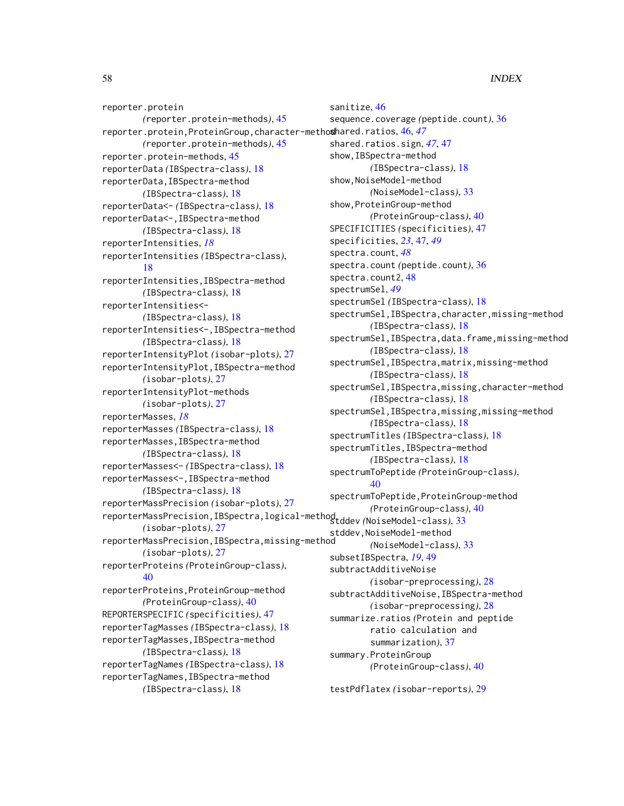reporter.protein *(*reporter.protein-methods*)*, [45](#page-44-0) reporter.protein,ProteinGroup,character-method shared.ratios, [46,](#page-45-0) *[47](#page-46-0) (*reporter.protein-methods*)*, [45](#page-44-0) reporter.protein-methods, [45](#page-44-0) reporterData *(*IBSpectra-class*)*, [18](#page-17-0) reporterData,IBSpectra-method *(*IBSpectra-class*)*, [18](#page-17-0) reporterData<- *(*IBSpectra-class*)*, [18](#page-17-0) reporterData<-,IBSpectra-method *(*IBSpectra-class*)*, [18](#page-17-0) reporterIntensities, *[18](#page-17-0)* reporterIntensities *(*IBSpectra-class*)*, [18](#page-17-0) reporterIntensities,IBSpectra-method *(*IBSpectra-class*)*, [18](#page-17-0) reporterIntensities<- *(*IBSpectra-class*)*, [18](#page-17-0) reporterIntensities<-,IBSpectra-method *(*IBSpectra-class*)*, [18](#page-17-0) reporterIntensityPlot *(*isobar-plots*)*, [27](#page-26-0) reporterIntensityPlot,IBSpectra-method *(*isobar-plots*)*, [27](#page-26-0) reporterIntensityPlot-methods *(*isobar-plots*)*, [27](#page-26-0) reporterMasses, *[18](#page-17-0)* reporterMasses *(*IBSpectra-class*)*, [18](#page-17-0) reporterMasses,IBSpectra-method *(*IBSpectra-class*)*, [18](#page-17-0) reporterMasses<- *(*IBSpectra-class*)*, [18](#page-17-0) reporterMasses<-,IBSpectra-method *(*IBSpectra-class*)*, [18](#page-17-0) reporterMassPrecision *(*isobar-plots*)*, [27](#page-26-0) reporterMassPrecision,IBSpectra,logical-method stddev *(*NoiseModel-class*)*, [33](#page-32-0) *(*isobar-plots*)*, [27](#page-26-0) reporterMassPrecision,IBSpectra,missing-method *(*isobar-plots*)*, [27](#page-26-0) reporterProteins *(*ProteinGroup-class*)*, [40](#page-39-0) reporterProteins,ProteinGroup-method *(*ProteinGroup-class*)*, [40](#page-39-0) REPORTERSPECIFIC *(*specificities*)*, [47](#page-46-0) reporterTagMasses *(*IBSpectra-class*)*, [18](#page-17-0) reporterTagMasses,IBSpectra-method *(*IBSpectra-class*)*, [18](#page-17-0) reporterTagNames *(*IBSpectra-class*)*, [18](#page-17-0) reporterTagNames,IBSpectra-method *(*IBSpectra-class*)*, [18](#page-17-0)

sanitize, [46](#page-45-0) sequence.coverage *(*peptide.count*)*, [36](#page-35-0) shared.ratios.sign, *[47](#page-46-0)*, [47](#page-46-0) show,IBSpectra-method *(*IBSpectra-class*)*, [18](#page-17-0) show,NoiseModel-method *(*NoiseModel-class*)*, [33](#page-32-0) show,ProteinGroup-method *(*ProteinGroup-class*)*, [40](#page-39-0) SPECIFICITIES *(*specificities*)*, [47](#page-46-0) specificities, *[23](#page-22-0)*, [47,](#page-46-0) *[49](#page-48-0)* spectra.count, *[48](#page-47-0)* spectra.count *(*peptide.count*)*, [36](#page-35-0) spectra.count2, [48](#page-47-0) spectrumSel, *[49](#page-48-0)* spectrumSel *(*IBSpectra-class*)*, [18](#page-17-0) spectrumSel,IBSpectra,character,missing-method *(*IBSpectra-class*)*, [18](#page-17-0) spectrumSel, IBSpectra, data.frame, missing-method *(*IBSpectra-class*)*, [18](#page-17-0) spectrumSel,IBSpectra,matrix,missing-method *(*IBSpectra-class*)*, [18](#page-17-0) spectrumSel,IBSpectra,missing,character-method *(*IBSpectra-class*)*, [18](#page-17-0) spectrumSel,IBSpectra,missing,missing-method *(*IBSpectra-class*)*, [18](#page-17-0) spectrumTitles *(*IBSpectra-class*)*, [18](#page-17-0) spectrumTitles,IBSpectra-method *(*IBSpectra-class*)*, [18](#page-17-0) spectrumToPeptide *(*ProteinGroup-class*)*, [40](#page-39-0) spectrumToPeptide,ProteinGroup-method *(*ProteinGroup-class*)*, [40](#page-39-0) stddev,NoiseModel-method *(*NoiseModel-class*)*, [33](#page-32-0) subsetIBSpectra, *[19](#page-18-0)*, [49](#page-48-0) subtractAdditiveNoise *(*isobar-preprocessing*)*, [28](#page-27-0) subtractAdditiveNoise,IBSpectra-method *(*isobar-preprocessing*)*, [28](#page-27-0) summarize.ratios *(*Protein and peptide ratio calculation and summarization*)*, [37](#page-36-0) summary.ProteinGroup *(*ProteinGroup-class*)*, [40](#page-39-0)

testPdflatex *(*isobar-reports*)*, [29](#page-28-0)